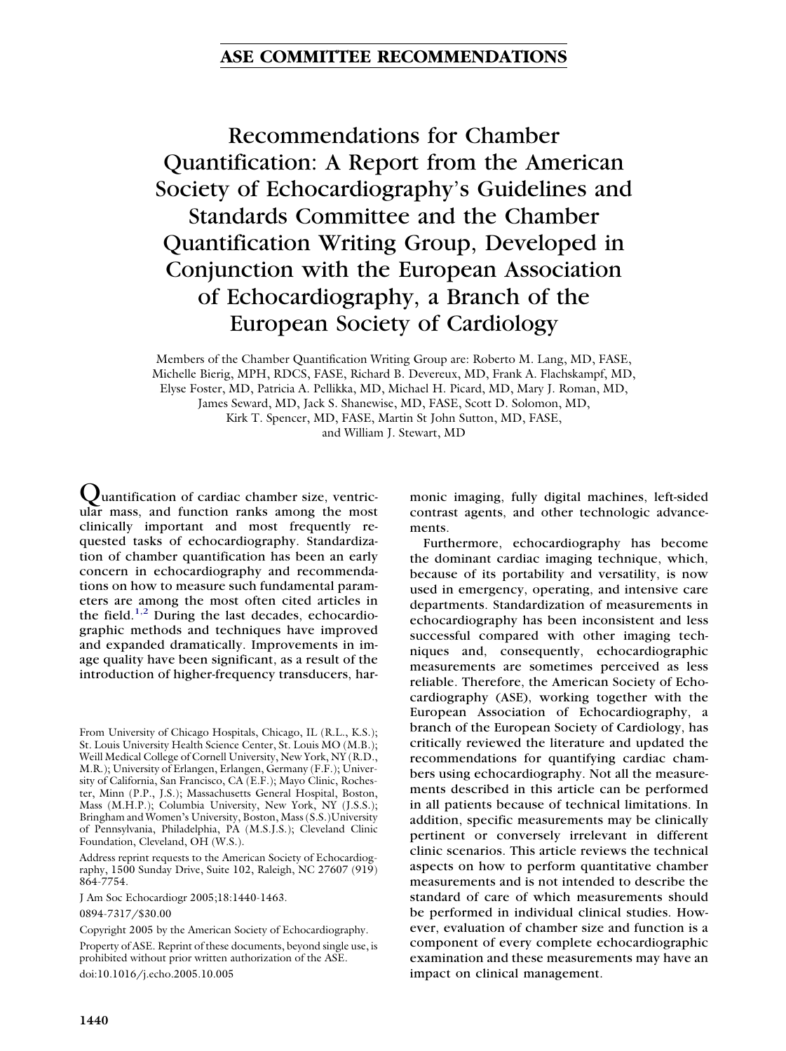## **ASE COMMITTEE RECOMMENDATIONS**

Recommendations for Chamber Quantification: A Report from the American Society of Echocardiography's Guidelines and Standards Committee and the Chamber Quantification Writing Group, Developed in Conjunction with the European Association of Echocardiography, a Branch of the European Society of Cardiology

Members of the Chamber Quantification Writing Group are: Roberto M. Lang, MD, FASE, Michelle Bierig, MPH, RDCS, FASE, Richard B. Devereux, MD, Frank A. Flachskampf, MD, Elyse Foster, MD, Patricia A. Pellikka, MD, Michael H. Picard, MD, Mary J. Roman, MD, James Seward, MD, Jack S. Shanewise, MD, FASE, Scott D. Solomon, MD, Kirk T. Spencer, MD, FASE, Martin St John Sutton, MD, FASE, and William J. Stewart, MD

Quantification of cardiac chamber size, ventricular mass, and function ranks among the most clinically important and most frequently requested tasks of echocardiography. Standardization of chamber quantification has been an early concern in echocardiography and recommendations on how to measure such fundamental parameters are among the most often cited articles in the field.<sup>[1,2](#page-19-0)</sup> During the last decades, echocardiographic methods and techniques have improved and expanded dramatically. Improvements in image quality have been significant, as a result of the introduction of higher-frequency transducers, har-

Address reprint requests to the American Society of Echocardiography, 1500 Sunday Drive, Suite 102, Raleigh, NC 27607 (919) 864-7754.

J Am Soc Echocardiogr 2005;18:1440-1463.

0894-7317/\$30.00

Copyright 2005 by the American Society of Echocardiography. Property of ASE. Reprint of these documents, beyond single use, is prohibited without prior written authorization of the ASE.

doi:10.1016/j.echo.2005.10.005

monic imaging, fully digital machines, left-sided contrast agents, and other technologic advancements.

Furthermore, echocardiography has become the dominant cardiac imaging technique, which, because of its portability and versatility, is now used in emergency, operating, and intensive care departments. Standardization of measurements in echocardiography has been inconsistent and less successful compared with other imaging techniques and, consequently, echocardiographic measurements are sometimes perceived as less reliable. Therefore, the American Society of Echocardiography (ASE), working together with the European Association of Echocardiography, a branch of the European Society of Cardiology, has critically reviewed the literature and updated the recommendations for quantifying cardiac chambers using echocardiography. Not all the measurements described in this article can be performed in all patients because of technical limitations. In addition, specific measurements may be clinically pertinent or conversely irrelevant in different clinic scenarios. This article reviews the technical aspects on how to perform quantitative chamber measurements and is not intended to describe the standard of care of which measurements should be performed in individual clinical studies. However, evaluation of chamber size and function is a component of every complete echocardiographic examination and these measurements may have an impact on clinical management.

From University of Chicago Hospitals, Chicago, IL (R.L., K.S.); St. Louis University Health Science Center, St. Louis MO (M.B.); Weill Medical College of Cornell University, New York, NY (R.D., M.R.); University of Erlangen, Erlangen, Germany (F.F.); University of California, San Francisco, CA (E.F.); Mayo Clinic, Rochester, Minn (P.P., J.S.); Massachusetts General Hospital, Boston, Mass (M.H.P.); Columbia University, New York, NY (J.S.S.); Bringham and Women's University, Boston, Mass (S.S.)University of Pennsylvania, Philadelphia, PA (M.S.J.S.); Cleveland Clinic Foundation, Cleveland, OH (W.S.).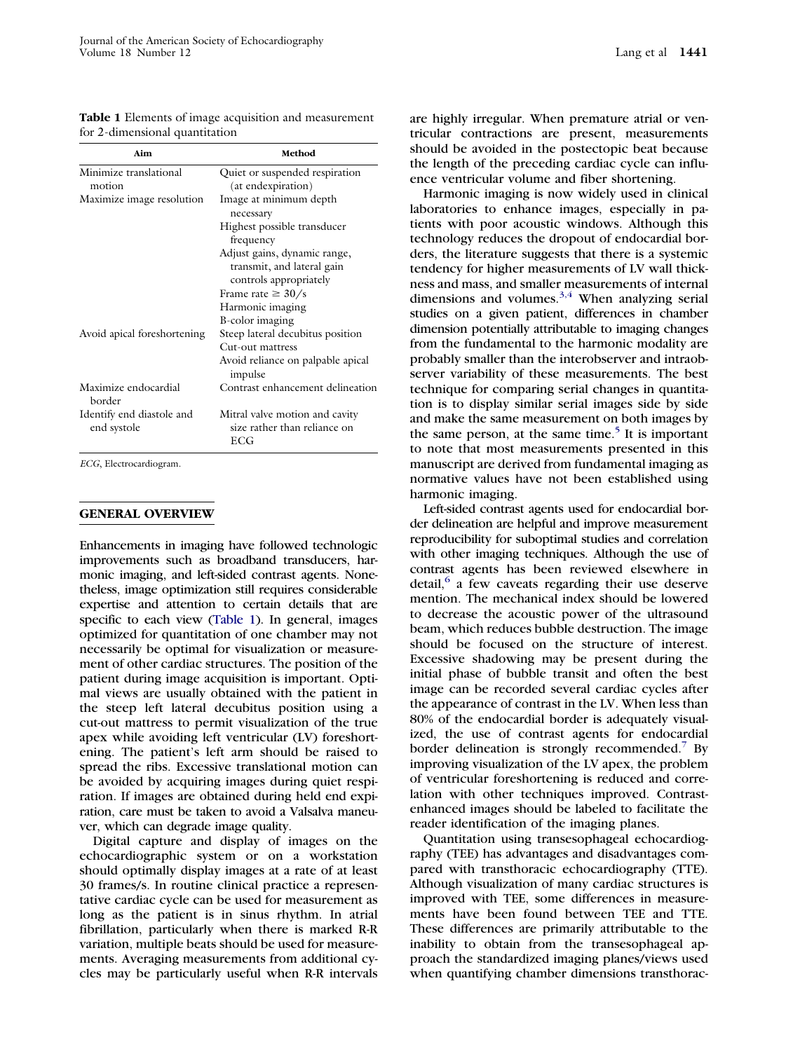**Table 1** Elements of image acquisition and measurement for 2-dimensional quantitation

| Aim                                      | Method                                                                               |
|------------------------------------------|--------------------------------------------------------------------------------------|
| Minimize translational<br>motion         | Quiet or suspended respiration<br>(at endexpiration)                                 |
| Maximize image resolution                | Image at minimum depth<br>necessary                                                  |
|                                          | Highest possible transducer<br>frequency                                             |
|                                          | Adjust gains, dynamic range,<br>transmit, and lateral gain<br>controls appropriately |
|                                          | Frame rate $\geq 30/s$                                                               |
|                                          | Harmonic imaging                                                                     |
|                                          | B-color imaging                                                                      |
| Avoid apical foreshortening              | Steep lateral decubitus position                                                     |
|                                          | Cut-out mattress                                                                     |
|                                          | Avoid reliance on palpable apical<br>impulse                                         |
| Maximize endocardial<br>border           | Contrast enhancement delineation                                                     |
| Identify end diastole and<br>end systole | Mitral valve motion and cavity<br>size rather than reliance on<br>ECG                |

*ECG*, Electrocardiogram.

#### **GENERAL OVERVIEW**

Enhancements in imaging have followed technologic improvements such as broadband transducers, harmonic imaging, and left-sided contrast agents. Nonetheless, image optimization still requires considerable expertise and attention to certain details that are specific to each view (Table 1). In general, images optimized for quantitation of one chamber may not necessarily be optimal for visualization or measurement of other cardiac structures. The position of the patient during image acquisition is important. Optimal views are usually obtained with the patient in the steep left lateral decubitus position using a cut-out mattress to permit visualization of the true apex while avoiding left ventricular (LV) foreshortening. The patient's left arm should be raised to spread the ribs. Excessive translational motion can be avoided by acquiring images during quiet respiration. If images are obtained during held end expiration, care must be taken to avoid a Valsalva maneuver, which can degrade image quality.

Digital capture and display of images on the echocardiographic system or on a workstation should optimally display images at a rate of at least 30 frames/s. In routine clinical practice a representative cardiac cycle can be used for measurement as long as the patient is in sinus rhythm. In atrial fibrillation, particularly when there is marked R-R variation, multiple beats should be used for measurements. Averaging measurements from additional cycles may be particularly useful when R-R intervals

are highly irregular. When premature atrial or ventricular contractions are present, measurements should be avoided in the postectopic beat because the length of the preceding cardiac cycle can influence ventricular volume and fiber shortening.

Harmonic imaging is now widely used in clinical laboratories to enhance images, especially in patients with poor acoustic windows. Although this technology reduces the dropout of endocardial borders, the literature suggests that there is a systemic tendency for higher measurements of LV wall thickness and mass, and smaller measurements of internal dimensions and volumes. $3,4$  When analyzing serial studies on a given patient, differences in chamber dimension potentially attributable to imaging changes from the fundamental to the harmonic modality are probably smaller than the interobserver and intraobserver variability of these measurements. The best technique for comparing serial changes in quantitation is to display similar serial images side by side and make the same measurement on both images by the same person, at the same time.<sup>5</sup> It is important to note that most measurements presented in this manuscript are derived from fundamental imaging as normative values have not been established using harmonic imaging.

Left-sided contrast agents used for endocardial border delineation are helpful and improve measurement reproducibility for suboptimal studies and correlation with other imaging techniques. Although the use of contrast agents has been reviewed elsewhere in detail, $6$  a few caveats regarding their use deserve mention. The mechanical index should be lowered to decrease the acoustic power of the ultrasound beam, which reduces bubble destruction. The image should be focused on the structure of interest. Excessive shadowing may be present during the initial phase of bubble transit and often the best image can be recorded several cardiac cycles after the appearance of contrast in the LV. When less than 80% of the endocardial border is adequately visualized, the use of contrast agents for endocardial border delineation is strongly recommended.<sup>[7](#page-19-0)</sup> By improving visualization of the LV apex, the problem of ventricular foreshortening is reduced and correlation with other techniques improved. Contrastenhanced images should be labeled to facilitate the reader identification of the imaging planes.

Quantitation using transesophageal echocardiography (TEE) has advantages and disadvantages compared with transthoracic echocardiography (TTE). Although visualization of many cardiac structures is improved with TEE, some differences in measurements have been found between TEE and TTE. These differences are primarily attributable to the inability to obtain from the transesophageal approach the standardized imaging planes/views used when quantifying chamber dimensions transthorac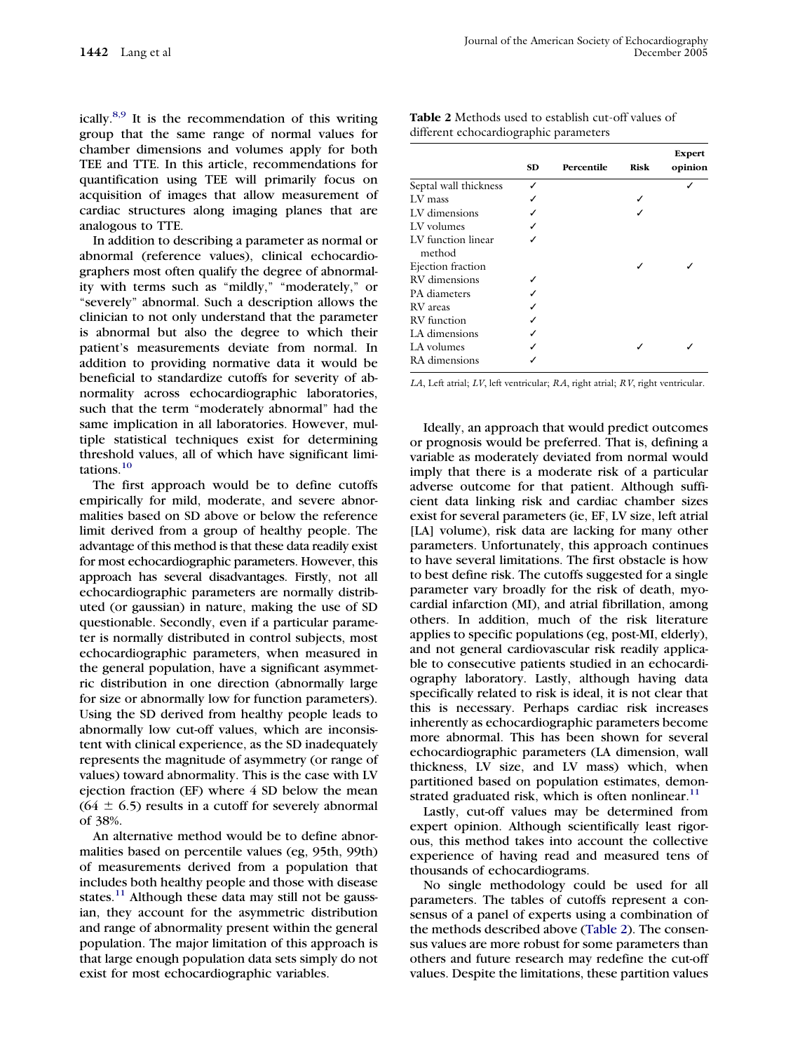ically.<sup>8,9</sup> It is the recommendation of this writing group that the same range of normal values for chamber dimensions and volumes apply for both TEE and TTE. In this article, recommendations for quantification using TEE will primarily focus on acquisition of images that allow measurement of cardiac structures along imaging planes that are analogous to TTE.

In addition to describing a parameter as normal or abnormal (reference values), clinical echocardiographers most often qualify the degree of abnormality with terms such as "mildly," "moderately," or "severely" abnormal. Such a description allows the clinician to not only understand that the parameter is abnormal but also the degree to which their patient's measurements deviate from normal. In addition to providing normative data it would be beneficial to standardize cutoffs for severity of abnormality across echocardiographic laboratories, such that the term "moderately abnormal" had the same implication in all laboratories. However, multiple statistical techniques exist for determining threshold values, all of which have significant limitations[.10](#page-19-0)

The first approach would be to define cutoffs empirically for mild, moderate, and severe abnormalities based on SD above or below the reference limit derived from a group of healthy people. The advantage of this method is that these data readily exist for most echocardiographic parameters. However, this approach has several disadvantages. Firstly, not all echocardiographic parameters are normally distributed (or gaussian) in nature, making the use of SD questionable. Secondly, even if a particular parameter is normally distributed in control subjects, most echocardiographic parameters, when measured in the general population, have a significant asymmetric distribution in one direction (abnormally large for size or abnormally low for function parameters). Using the SD derived from healthy people leads to abnormally low cut-off values, which are inconsistent with clinical experience, as the SD inadequately represents the magnitude of asymmetry (or range of values) toward abnormality. This is the case with LV ejection fraction (EF) where 4 SD below the mean  $(64 \pm 6.5)$  results in a cutoff for severely abnormal of 38%.

An alternative method would be to define abnormalities based on percentile values (eg, 95th, 99th) of measurements derived from a population that includes both healthy people and those with disease states.<sup>11</sup> Although these data may still not be gaussian, they account for the asymmetric distribution and range of abnormality present within the general population. The major limitation of this approach is that large enough population data sets simply do not exist for most echocardiographic variables.

|                              | <b>SD</b> | Percentile | Risk | <b>Expert</b><br>opinion |
|------------------------------|-----------|------------|------|--------------------------|
| Septal wall thickness        |           |            |      |                          |
| $LV$ mass                    |           |            |      |                          |
| LV dimensions                |           |            |      |                          |
| LV volumes                   |           |            |      |                          |
| LV function linear<br>method |           |            |      |                          |
| Ejection fraction            |           |            |      |                          |
| RV dimensions                |           |            |      |                          |
| PA diameters                 |           |            |      |                          |
| RV areas                     |           |            |      |                          |
| RV function                  |           |            |      |                          |
| LA dimensions                |           |            |      |                          |
| LA volumes                   |           |            |      |                          |
| RA dimensions                |           |            |      |                          |

**Table 2** Methods used to establish cut-off values of different echocardiographic parameters

*LA*, Left atrial; *LV*, left ventricular; *RA*, right atrial; *RV*, right ventricular.

Ideally, an approach that would predict outcomes or prognosis would be preferred. That is, defining a variable as moderately deviated from normal would imply that there is a moderate risk of a particular adverse outcome for that patient. Although sufficient data linking risk and cardiac chamber sizes exist for several parameters (ie, EF, LV size, left atrial [LA] volume), risk data are lacking for many other parameters. Unfortunately, this approach continues to have several limitations. The first obstacle is how to best define risk. The cutoffs suggested for a single parameter vary broadly for the risk of death, myocardial infarction (MI), and atrial fibrillation, among others. In addition, much of the risk literature applies to specific populations (eg, post-MI, elderly), and not general cardiovascular risk readily applicable to consecutive patients studied in an echocardiography laboratory. Lastly, although having data specifically related to risk is ideal, it is not clear that this is necessary. Perhaps cardiac risk increases inherently as echocardiographic parameters become more abnormal. This has been shown for several echocardiographic parameters (LA dimension, wall thickness, LV size, and LV mass) which, when partitioned based on population estimates, demonstrated graduated risk, which is often nonlinear. $11$ 

Lastly, cut-off values may be determined from expert opinion. Although scientifically least rigorous, this method takes into account the collective experience of having read and measured tens of thousands of echocardiograms.

No single methodology could be used for all parameters. The tables of cutoffs represent a consensus of a panel of experts using a combination of the methods described above (Table 2). The consensus values are more robust for some parameters than others and future research may redefine the cut-off values. Despite the limitations, these partition values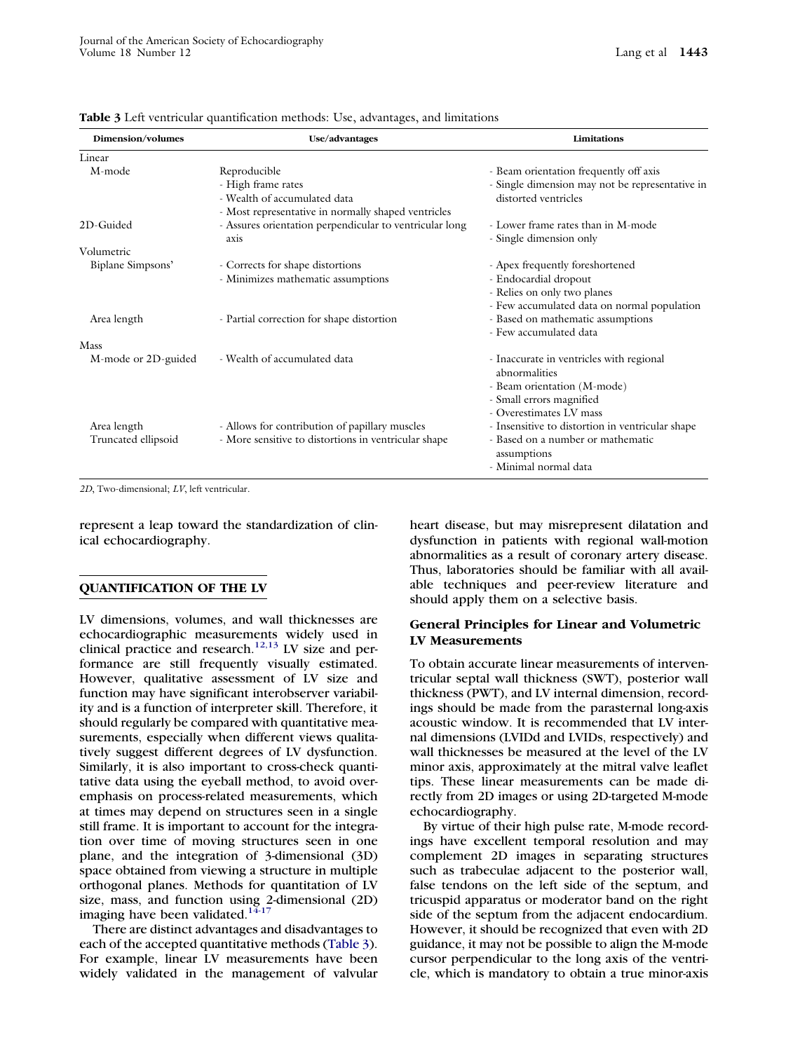| Dimension/volumes   | Use/advantages                                          | Limitations                                      |
|---------------------|---------------------------------------------------------|--------------------------------------------------|
| Linear              |                                                         |                                                  |
| M-mode              | Reproducible                                            | - Beam orientation frequently off axis           |
|                     | - High frame rates                                      | - Single dimension may not be representative in  |
|                     | - Wealth of accumulated data                            | distorted ventricles                             |
|                     | - Most representative in normally shaped ventricles     |                                                  |
| 2D-Guided           | - Assures orientation perpendicular to ventricular long | - Lower frame rates than in M-mode               |
|                     | axis                                                    | - Single dimension only                          |
| Volumetric          |                                                         |                                                  |
| Biplane Simpsons'   | - Corrects for shape distortions                        | - Apex frequently foreshortened                  |
|                     | - Minimizes mathematic assumptions                      | - Endocardial dropout                            |
|                     |                                                         | - Relies on only two planes                      |
|                     |                                                         | - Few accumulated data on normal population      |
| Area length         | - Partial correction for shape distortion               | - Based on mathematic assumptions                |
|                     |                                                         | - Few accumulated data                           |
| Mass                |                                                         |                                                  |
| M-mode or 2D-guided | - Wealth of accumulated data                            | - Inaccurate in ventricles with regional         |
|                     |                                                         | abnormalities                                    |
|                     |                                                         | - Beam orientation (M-mode)                      |
|                     |                                                         | - Small errors magnified                         |
|                     |                                                         | - Overestimates LV mass                          |
| Area length         | - Allows for contribution of papillary muscles          | - Insensitive to distortion in ventricular shape |
| Truncated ellipsoid | - More sensitive to distortions in ventricular shape    | - Based on a number or mathematic<br>assumptions |
|                     |                                                         | - Minimal normal data                            |

| <b>Table 3</b> Left ventricular quantification methods: Use, advantages, and limitations |  |  |  |  |
|------------------------------------------------------------------------------------------|--|--|--|--|
|------------------------------------------------------------------------------------------|--|--|--|--|

*2D*, Two-dimensional; *LV*, left ventricular.

represent a leap toward the standardization of clinical echocardiography.

#### **QUANTIFICATION OF THE LV**

LV dimensions, volumes, and wall thicknesses are echocardiographic measurements widely used in clinical practice and research.<sup>12,13</sup> LV size and performance are still frequently visually estimated. However, qualitative assessment of LV size and function may have significant interobserver variability and is a function of interpreter skill. Therefore, it should regularly be compared with quantitative measurements, especially when different views qualitatively suggest different degrees of LV dysfunction. Similarly, it is also important to cross-check quantitative data using the eyeball method, to avoid overemphasis on process-related measurements, which at times may depend on structures seen in a single still frame. It is important to account for the integration over time of moving structures seen in one plane, and the integration of 3-dimensional (3D) space obtained from viewing a structure in multiple orthogonal planes. Methods for quantitation of LV size, mass, and function using 2-dimensional (2D) imaging have been validated.<sup>14-17</sup>

There are distinct advantages and disadvantages to each of the accepted quantitative methods (Table 3). For example, linear LV measurements have been widely validated in the management of valvular

heart disease, but may misrepresent dilatation and dysfunction in patients with regional wall-motion abnormalities as a result of coronary artery disease. Thus, laboratories should be familiar with all available techniques and peer-review literature and should apply them on a selective basis.

## **General Principles for Linear and Volumetric LV Measurements**

To obtain accurate linear measurements of interventricular septal wall thickness (SWT), posterior wall thickness (PWT), and LV internal dimension, recordings should be made from the parasternal long-axis acoustic window. It is recommended that LV internal dimensions (LVIDd and LVIDs, respectively) and wall thicknesses be measured at the level of the LV minor axis, approximately at the mitral valve leaflet tips. These linear measurements can be made directly from 2D images or using 2D-targeted M-mode echocardiography.

By virtue of their high pulse rate, M-mode recordings have excellent temporal resolution and may complement 2D images in separating structures such as trabeculae adjacent to the posterior wall, false tendons on the left side of the septum, and tricuspid apparatus or moderator band on the right side of the septum from the adjacent endocardium. However, it should be recognized that even with 2D guidance, it may not be possible to align the M-mode cursor perpendicular to the long axis of the ventricle, which is mandatory to obtain a true minor-axis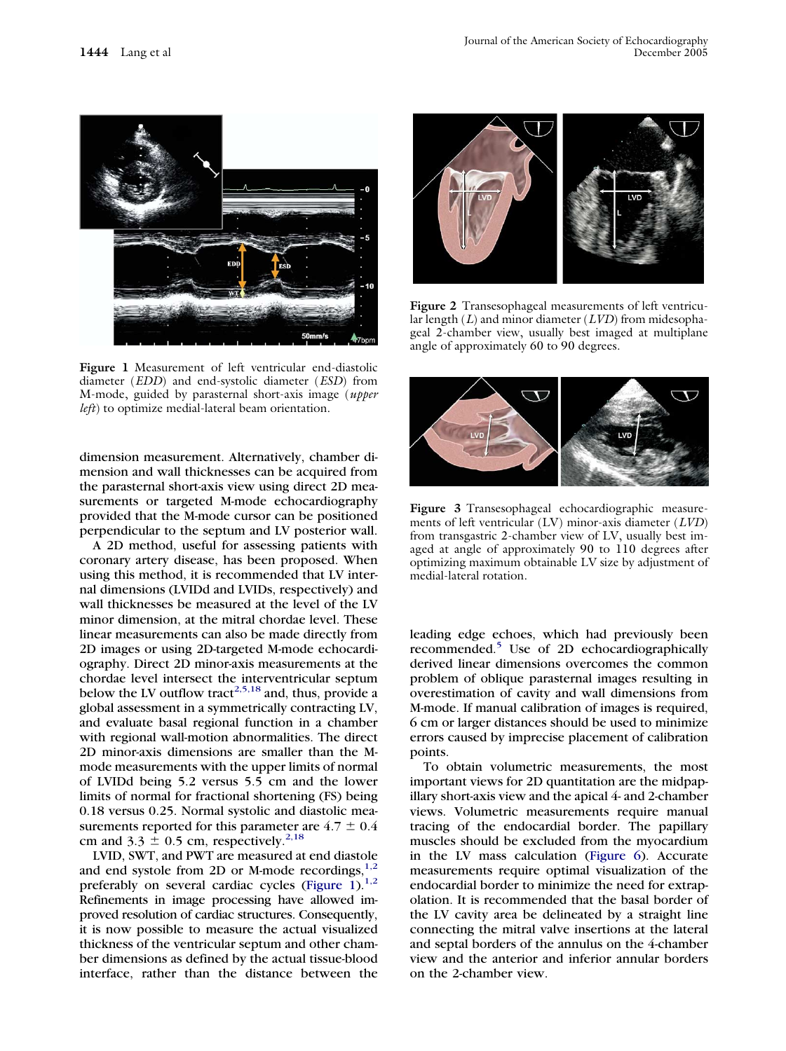<span id="page-4-0"></span>

**Figure 1** Measurement of left ventricular end-diastolic diameter (*EDD*) and end-systolic diameter (*ESD*) from M-mode, guided by parasternal short-axis image (*upper left*) to optimize medial-lateral beam orientation.

dimension measurement. Alternatively, chamber dimension and wall thicknesses can be acquired from the parasternal short-axis view using direct 2D measurements or targeted M-mode echocardiography provided that the M-mode cursor can be positioned perpendicular to the septum and LV posterior wall.

A 2D method, useful for assessing patients with coronary artery disease, has been proposed. When using this method, it is recommended that LV internal dimensions (LVIDd and LVIDs, respectively) and wall thicknesses be measured at the level of the LV minor dimension, at the mitral chordae level. These linear measurements can also be made directly from 2D images or using 2D-targeted M-mode echocardiography. Direct 2D minor-axis measurements at the chordae level intersect the interventricular septum below the LV outflow tract<sup>2,5,18</sup> and, thus, provide a global assessment in a symmetrically contracting LV, and evaluate basal regional function in a chamber with regional wall-motion abnormalities. The direct 2D minor-axis dimensions are smaller than the Mmode measurements with the upper limits of normal of LVIDd being 5.2 versus 5.5 cm and the lower limits of normal for fractional shortening (FS) being 0.18 versus 0.25. Normal systolic and diastolic measurements reported for this parameter are  $4.7 \pm 0.4$ cm and  $3.3 \pm 0.5$  cm, respectively.<sup>2,18</sup>

LVID, SWT, and PWT are measured at end diastole and end systole from 2D or M-mode recordings, $1,2$ preferably on several cardiac cycles (Figure  $1$ ).<sup>1,2</sup> Refinements in image processing have allowed improved resolution of cardiac structures. Consequently, it is now possible to measure the actual visualized thickness of the ventricular septum and other chamber dimensions as defined by the actual tissue-blood interface, rather than the distance between the



**Figure 2** Transesophageal measurements of left ventricular length (*L*) and minor diameter (*LVD*) from midesophageal 2-chamber view, usually best imaged at multiplane angle of approximately 60 to 90 degrees.



**Figure 3** Transesophageal echocardiographic measurements of left ventricular (LV) minor-axis diameter (*LVD*) from transgastric 2-chamber view of LV, usually best imaged at angle of approximately 90 to 110 degrees after optimizing maximum obtainable LV size by adjustment of medial-lateral rotation.

leading edge echoes, which had previously been recommended[.5](#page-19-0) Use of 2D echocardiographically derived linear dimensions overcomes the common problem of oblique parasternal images resulting in overestimation of cavity and wall dimensions from M-mode. If manual calibration of images is required, 6 cm or larger distances should be used to minimize errors caused by imprecise placement of calibration points.

To obtain volumetric measurements, the most important views for 2D quantitation are the midpapillary short-axis view and the apical 4- and 2-chamber views. Volumetric measurements require manual tracing of the endocardial border. The papillary muscles should be excluded from the myocardium in the LV mass calculation [\(Figure](#page-6-0) 6). Accurate measurements require optimal visualization of the endocardial border to minimize the need for extrapolation. It is recommended that the basal border of the LV cavity area be delineated by a straight line connecting the mitral valve insertions at the lateral and septal borders of the annulus on the 4-chamber view and the anterior and inferior annular borders on the 2-chamber view.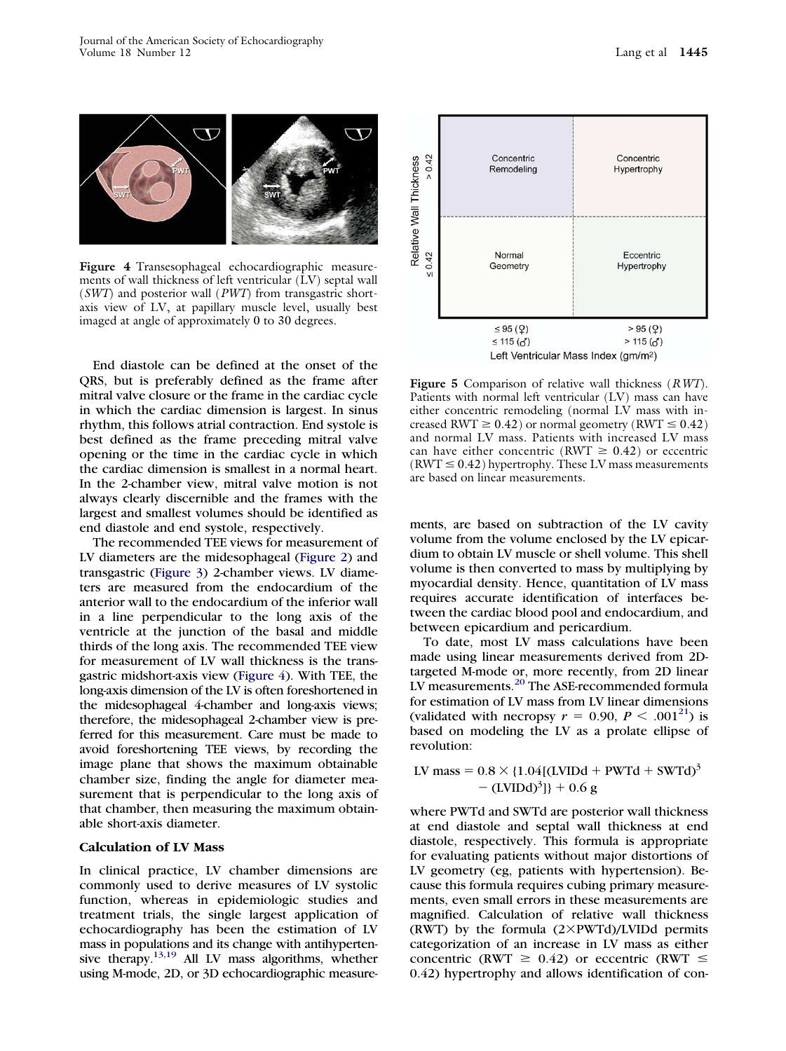<span id="page-5-0"></span>**Figure 4** Transesophageal echocardiographic measurements of wall thickness of left ventricular (LV) septal wall (*SWT*) and posterior wall (*PWT*) from transgastric shortaxis view of LV, at papillary muscle level, usually best imaged at angle of approximately 0 to 30 degrees.

End diastole can be defined at the onset of the QRS, but is preferably defined as the frame after mitral valve closure or the frame in the cardiac cycle in which the cardiac dimension is largest. In sinus rhythm, this follows atrial contraction. End systole is best defined as the frame preceding mitral valve opening or the time in the cardiac cycle in which the cardiac dimension is smallest in a normal heart. In the 2-chamber view, mitral valve motion is not always clearly discernible and the frames with the largest and smallest volumes should be identified as end diastole and end systole, respectively.

The recommended TEE views for measurement of LV diameters are the midesophageal [\(Figure](#page-4-0) 2) and transgastric [\(Figure](#page-4-0) 3) 2-chamber views. LV diameters are measured from the endocardium of the anterior wall to the endocardium of the inferior wall in a line perpendicular to the long axis of the ventricle at the junction of the basal and middle thirds of the long axis. The recommended TEE view for measurement of LV wall thickness is the transgastric midshort-axis view (Figure 4). With TEE, the long-axis dimension of the LV is often foreshortened in the midesophageal 4-chamber and long-axis views; therefore, the midesophageal 2-chamber view is preferred for this measurement. Care must be made to avoid foreshortening TEE views, by recording the image plane that shows the maximum obtainable chamber size, finding the angle for diameter measurement that is perpendicular to the long axis of that chamber, then measuring the maximum obtainable short-axis diameter.

#### **Calculation of LV Mass**

In clinical practice, LV chamber dimensions are commonly used to derive measures of LV systolic function, whereas in epidemiologic studies and treatment trials, the single largest application of echocardiography has been the estimation of LV mass in populations and its change with antihypertensive therapy.<sup>13,19</sup> All LV mass algorithms, whether using M-mode, 2D, or 3D echocardiographic measure-



**Figure 5** Comparison of relative wall thickness (*RWT*). Patients with normal left ventricular (LV) mass can have either concentric remodeling (normal LV mass with increased RWT  $\geq 0.42$ ) or normal geometry (RWT  $\leq 0.42$ ) and normal LV mass. Patients with increased LV mass can have either concentric (RWT  $\geq 0.42$ ) or eccentric  $(RWT \leq 0.42)$  hypertrophy. These LV mass measurements are based on linear measurements.

ments, are based on subtraction of the LV cavity volume from the volume enclosed by the LV epicardium to obtain LV muscle or shell volume. This shell volume is then converted to mass by multiplying by myocardial density. Hence, quantitation of LV mass requires accurate identification of interfaces between the cardiac blood pool and endocardium, and between epicardium and pericardium.

To date, most LV mass calculations have been made using linear measurements derived from 2Dtargeted M-mode or, more recently, from 2D linear LV measurements.<sup>20</sup> The ASE-recommended formula for estimation of LV mass from LV linear dimensions (validated with necropsy  $r = 0.90, P < .001^{21}$ ) is based on modeling the LV as a prolate ellipse of revolution:

LV mass = 
$$
0.8 \times \{1.04[(UVIDd + PWTd + SWTd)^3 - (LVIDd)^3]\} + 0.6 g
$$

where PWTd and SWTd are posterior wall thickness at end diastole and septal wall thickness at end diastole, respectively. This formula is appropriate for evaluating patients without major distortions of LV geometry (eg, patients with hypertension). Because this formula requires cubing primary measurements, even small errors in these measurements are magnified. Calculation of relative wall thickness (RWT) by the formula  $(2\times$ PWTd)/LVIDd permits categorization of an increase in LV mass as either concentric (RWT  $\geq$  0.42) or eccentric (RWT  $\leq$ 0.42) hypertrophy and allows identification of con-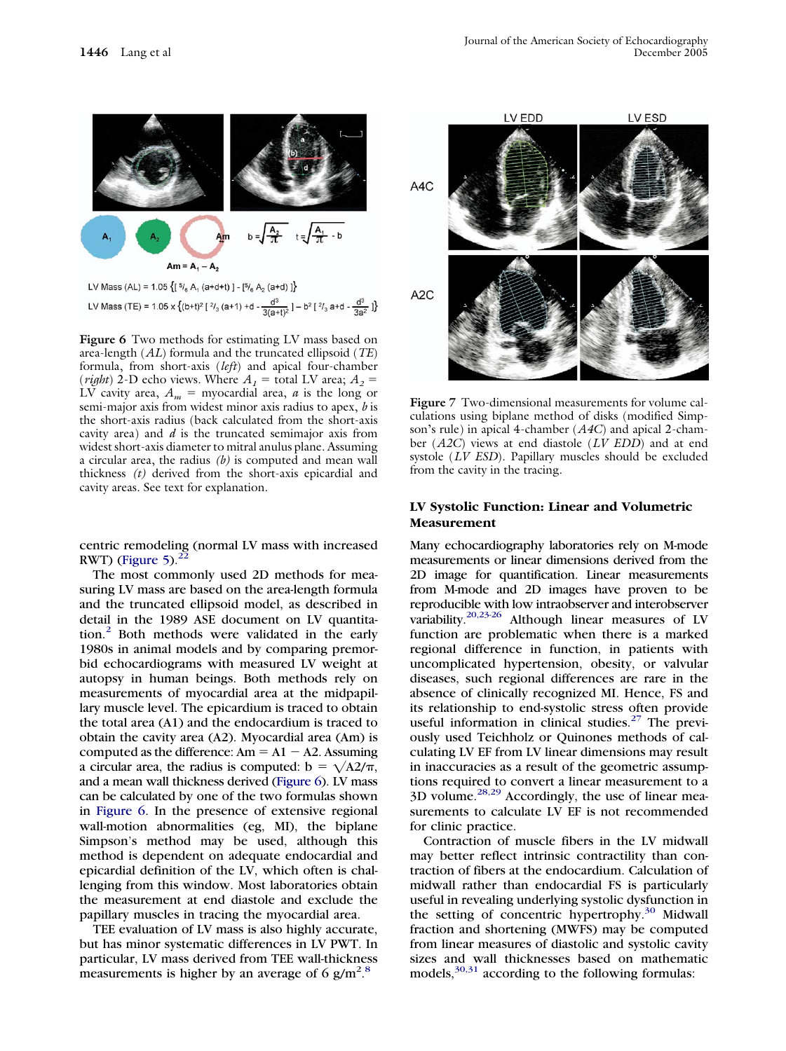<span id="page-6-0"></span>

LV Mass (TE) = 1.05 x {(b+t)<sup>2</sup> [ $\frac{7}{3}$  (a+1) +d -  $\frac{d^3}{3(a+1)^2}$  ] - b<sup>2</sup> [ $\frac{7}{3}$  a+d -  $\frac{d^3}{3a^2}$  ]}

Figure 6 Two methods for estimating LV mass based on area-length (*AL*) formula and the truncated ellipsoid (*TE*) formula, from short-axis (*left*) and apical four-chamber (*right*) 2-D echo views. Where  $A_1$  = total LV area;  $A_2$  = LV cavity area,  $A_m$  = myocardial area,  $\alpha$  is the long or semi-major axis from widest minor axis radius to apex, *b* is the short-axis radius (back calculated from the short-axis cavity area) and *d* is the truncated semimajor axis from widest short-axis diameter to mitral anulus plane. Assuming a circular area, the radius *(b)* is computed and mean wall thickness *(t)* derived from the short-axis epicardial and cavity areas. See text for explanation.

centric remodeling (normal LV mass with increased RWT) [\(Figure](#page-5-0) 5). $^{2}$ 

The most commonly used 2D methods for measuring LV mass are based on the area-length formula and the truncated ellipsoid model, as described in detail in the 1989 ASE document on LV quantitation[.2](#page-19-0) Both methods were validated in the early 1980s in animal models and by comparing premorbid echocardiograms with measured LV weight at autopsy in human beings. Both methods rely on measurements of myocardial area at the midpapillary muscle level. The epicardium is traced to obtain the total area (A1) and the endocardium is traced to obtain the cavity area (A2). Myocardial area (Am) is computed as the difference:  $Am = A1 - A2$ . Assuming a circular area, the radius is computed:  $b = \sqrt{A2/\pi}$ , and a mean wall thickness derived (Figure 6). LV mass can be calculated by one of the two formulas shown in Figure 6. In the presence of extensive regional wall-motion abnormalities (eg, MI), the biplane Simpson's method may be used, although this method is dependent on adequate endocardial and epicardial definition of the LV, which often is challenging from this window. Most laboratories obtain the measurement at end diastole and exclude the papillary muscles in tracing the myocardial area.

TEE evaluation of LV mass is also highly accurate, but has minor systematic differences in LV PWT. In particular, LV mass derived from TEE wall-thickness measurements is higher by an average of 6  $g/m<sup>2,8</sup>$  $g/m<sup>2,8</sup>$  $g/m<sup>2,8</sup>$ 



**Figure 7** Two-dimensional measurements for volume calculations using biplane method of disks (modified Simpson's rule) in apical 4-chamber (*A4C*) and apical 2-chamber (*A2C*) views at end diastole (*LV EDD*) and at end systole (*LV ESD*). Papillary muscles should be excluded from the cavity in the tracing.

### **LV Systolic Function: Linear and Volumetric Measurement**

Many echocardiography laboratories rely on M-mode measurements or linear dimensions derived from the 2D image for quantification. Linear measurements from M-mode and 2D images have proven to be reproducible with low intraobserver and interobserver variability[.20,23-26](#page-19-0) Although linear measures of LV function are problematic when there is a marked regional difference in function, in patients with uncomplicated hypertension, obesity, or valvular diseases, such regional differences are rare in the absence of clinically recognized MI. Hence, FS and its relationship to end-systolic stress often provide useful information in clinical studies. $27$  The previously used Teichholz or Quinones methods of calculating LV EF from LV linear dimensions may result in inaccuracies as a result of the geometric assumptions required to convert a linear measurement to a  $3D$  volume.<sup>28,29</sup> Accordingly, the use of linear measurements to calculate LV EF is not recommended for clinic practice.

Contraction of muscle fibers in the LV midwall may better reflect intrinsic contractility than contraction of fibers at the endocardium. Calculation of midwall rather than endocardial FS is particularly useful in revealing underlying systolic dysfunction in the setting of concentric hypertrophy.<sup>30</sup> Midwall fraction and shortening (MWFS) may be computed from linear measures of diastolic and systolic cavity sizes and wall thicknesses based on mathematic models,  $30,31$  according to the following formulas: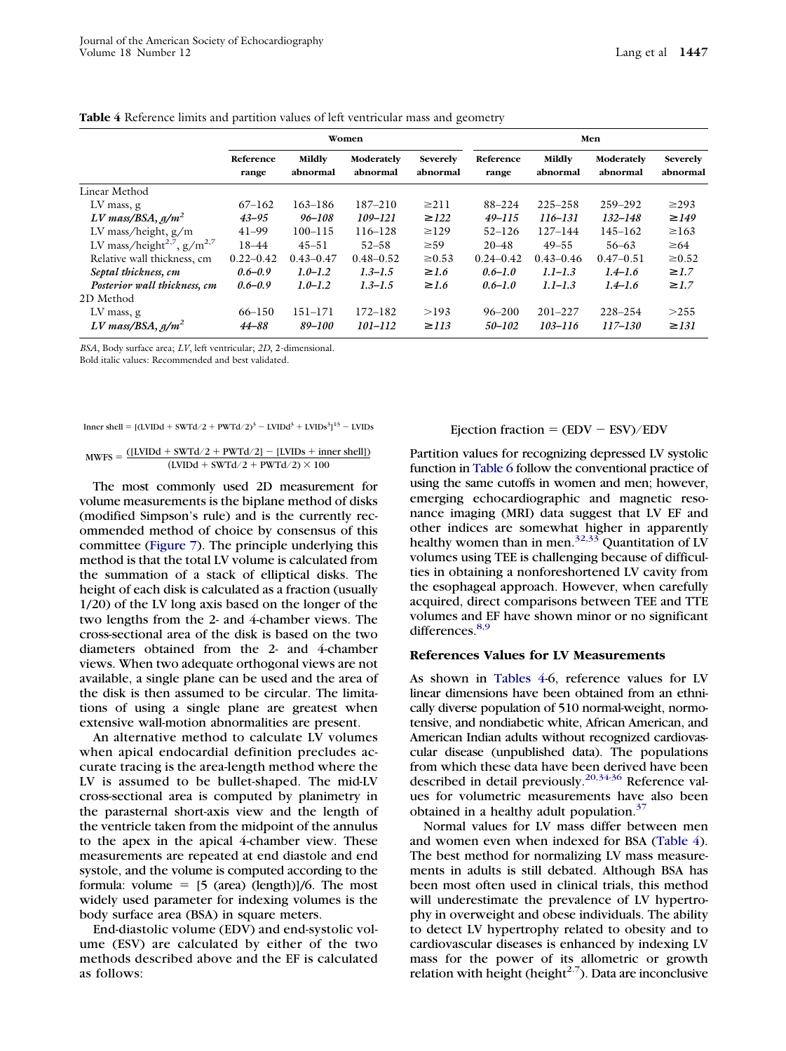|                                             |                    | Women              |                        |                      |                    | Men                |                        |                      |  |  |
|---------------------------------------------|--------------------|--------------------|------------------------|----------------------|--------------------|--------------------|------------------------|----------------------|--|--|
|                                             | Reference<br>range | Mildly<br>abnormal | Moderately<br>abnormal | Severely<br>abnormal | Reference<br>range | Mildly<br>abnormal | Moderately<br>abnormal | Severely<br>abnormal |  |  |
| Linear Method                               |                    |                    |                        |                      |                    |                    |                        |                      |  |  |
| $LV$ mass, $g$                              | $67 - 162$         | 163–186            | $187 - 210$            | $\geq$ 211           | $88 - 224$         | $225 - 258$        | 259-292                | $\geq$ 293           |  |  |
| LV mass/BSA, $g/m^2$                        | $43 - 95$          | 96–108             | $109 - 121$            | $\geq$ 122           | $49 - 115$         | 116–131            | $132 - 148$            | $\geq$ 149           |  |  |
| LV mass/height, $g/m$                       | $41 - 99$          | $100 - 115$        | $116 - 128$            | $\geq$ 129           | $52 - 126$         | $127 - 144$        | $145 - 162$            | $\geq$ 163           |  |  |
| LV mass/height <sup>2,7</sup> , $g/m^{2,7}$ | $18 - 44$          | $45 - 51$          | $52 - 58$              | $\geq 59$            | $20 - 48$          | $49 - 55$          | $56 - 63$              | $\geq 64$            |  |  |
| Relative wall thickness, cm                 | $0.22 - 0.42$      | $0.43 - 0.47$      | $0.48 - 0.52$          | $\geq 0.53$          | $0.24 - 0.42$      | $0.43 - 0.46$      | $0.47 - 0.51$          | $\geq 0.52$          |  |  |
| Septal thickness, cm                        | $0.6 - 0.9$        | $1.0 - 1.2$        | $1.3 - 1.5$            | $\geq 1.6$           | $0.6 - 1.0$        | $1.1 - 1.3$        | $1.4 - 1.6$            | $\geq 1.7$           |  |  |
| Posterior wall thickness, cm                | $0.6 - 0.9$        | $1.0 - 1.2$        | $1.3 - 1.5$            | $\geq 1.6$           | $0.6 - 1.0$        | $1.1 - 1.3$        | $1.4 - 1.6$            | $\geq 1.7$           |  |  |
| 2D Method                                   |                    |                    |                        |                      |                    |                    |                        |                      |  |  |
| $LV$ mass, $g$                              | 66–150             | 151–171            | $172 - 182$            | >193                 | $96 - 200$         | $201 - 227$        | 228-254                | >255                 |  |  |
| LV mass/BSA, $g/m^2$                        | 44-88              | 89-100             | 101-112                | $\geq$ 113           | $50 - 102$         | 103-116            | $117 - 130$            | $\geq$ 131           |  |  |

<span id="page-7-0"></span>**Table 4** Reference limits and partition values of left ventricular mass and geometry

*BSA*, Body surface area; *LV*, left ventricular; *2D*, 2-dimensional.

Bold italic values: Recommended and best validated.

Inner shell = [(LVIDd + SWTd/2 + PWTd/2)<sup>3</sup> – LVIDd<sup>3</sup> + LVIDs<sup>3</sup>]<sup>1/3</sup> – LVIDs

$$
MWFS = \frac{([LVIDA + SWTd/2 + PWTd/2] - [LVIDs + inner shell])}{(LVIDd + SWTd/2 + PWTd/2) \times 100}
$$

The most commonly used 2D measurement for volume measurements is the biplane method of disks (modified Simpson's rule) and is the currently recommended method of choice by consensus of this committee [\(Figure](#page-6-0) 7). The principle underlying this method is that the total LV volume is calculated from the summation of a stack of elliptical disks. The height of each disk is calculated as a fraction (usually 1/20) of the LV long axis based on the longer of the two lengths from the 2- and 4-chamber views. The cross-sectional area of the disk is based on the two diameters obtained from the 2- and 4-chamber views. When two adequate orthogonal views are not available, a single plane can be used and the area of the disk is then assumed to be circular. The limitations of using a single plane are greatest when extensive wall-motion abnormalities are present.

An alternative method to calculate LV volumes when apical endocardial definition precludes accurate tracing is the area-length method where the LV is assumed to be bullet-shaped. The mid-LV cross-sectional area is computed by planimetry in the parasternal short-axis view and the length of the ventricle taken from the midpoint of the annulus to the apex in the apical 4-chamber view. These measurements are repeated at end diastole and end systole, and the volume is computed according to the formula: volume  $=$  [5 (area) (length)]/6. The most widely used parameter for indexing volumes is the body surface area (BSA) in square meters.

End-diastolic volume (EDV) and end-systolic volume (ESV) are calculated by either of the two methods described above and the EF is calculated as follows:

#### $Ejection fraction = (EDV - ESV)/EDV$

Partition values for recognizing depressed LV systolic function in [Table 6](#page-8-0) follow the conventional practice of using the same cutoffs in women and men; however, emerging echocardiographic and magnetic resonance imaging (MRI) data suggest that LV EF and other indices are somewhat higher in apparently healthy women than in men.<sup>32,33</sup> Quantitation of LV volumes using TEE is challenging because of difficulties in obtaining a nonforeshortened LV cavity from the esophageal approach. However, when carefully acquired, direct comparisons between TEE and TTE volumes and EF have shown minor or no significant differences.<sup>8,9</sup>

#### **References Values for LV Measurements**

As shown in Tables 4-6, reference values for LV linear dimensions have been obtained from an ethnically diverse population of 510 normal-weight, normotensive, and nondiabetic white, African American, and American Indian adults without recognized cardiovascular disease (unpublished data). The populations from which these data have been derived have been described in detail previously[.20,34-36](#page-19-0) Reference values for volumetric measurements have also been obtained in a healthy adult population.<sup>37</sup>

Normal values for LV mass differ between men and women even when indexed for BSA (Table 4). The best method for normalizing LV mass measurements in adults is still debated. Although BSA has been most often used in clinical trials, this method will underestimate the prevalence of LV hypertrophy in overweight and obese individuals. The ability to detect LV hypertrophy related to obesity and to cardiovascular diseases is enhanced by indexing LV mass for the power of its allometric or growth relation with height (height $^{2.7}$ ). Data are inconclusive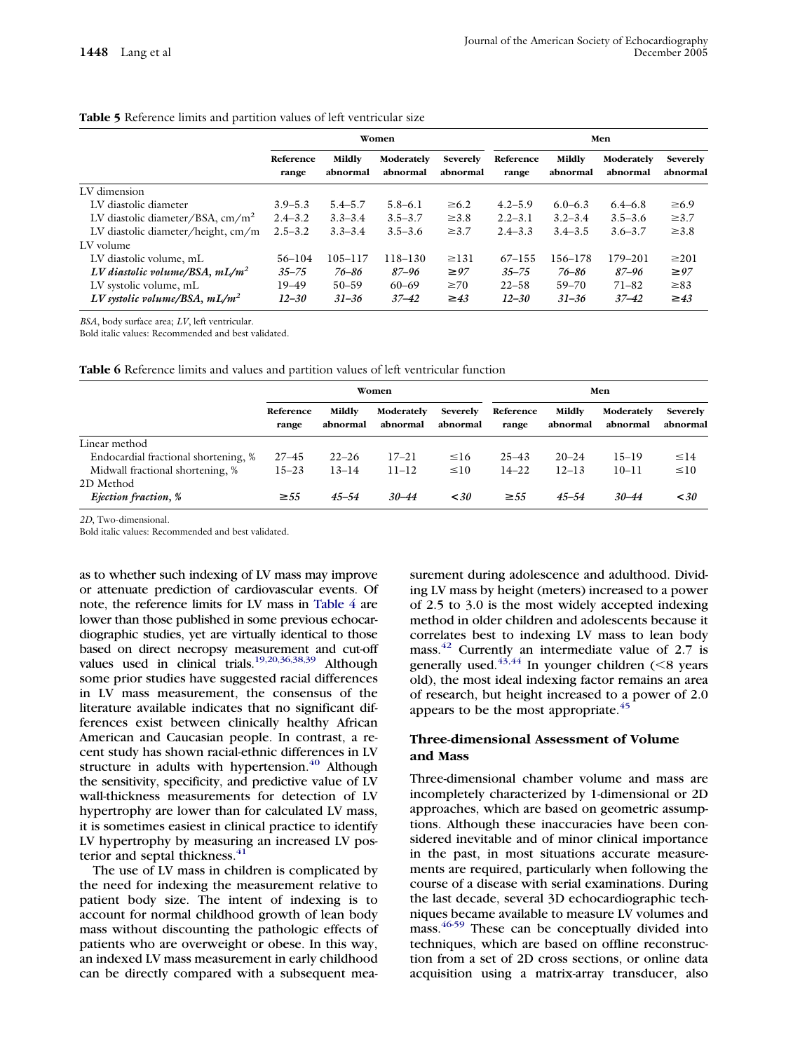<span id="page-8-0"></span>**Table 5** Reference limits and partition values of left ventricular size

|                                    | Women              |                    |                        |                      | Men                |                    |                        |                             |
|------------------------------------|--------------------|--------------------|------------------------|----------------------|--------------------|--------------------|------------------------|-----------------------------|
|                                    | Reference<br>range | Mildly<br>abnormal | Moderately<br>abnormal | Severely<br>abnormal | Reference<br>range | Mildly<br>abnormal | Moderately<br>abnormal | <b>Severely</b><br>abnormal |
| LV dimension                       |                    |                    |                        |                      |                    |                    |                        |                             |
| LV diastolic diameter              | $3.9 - 5.3$        | $5.4 - 5.7$        | $5.8-6.1$              | $\geq 6.2$           | $4.2 - 5.9$        | $6.0 - 6.3$        | $6.4 - 6.8$            | $\geq 6.9$                  |
| LV diastolic diameter/BSA, $cm/m2$ | $2.4 - 3.2$        | $3.3 - 3.4$        | $3.5 - 3.7$            | $\geq 3.8$           | $2.2 - 3.1$        | $3.2 - 3.4$        | $3.5 - 3.6$            | $\geq 3.7$                  |
| LV diastolic diameter/height, cm/m | $2.5 - 3.2$        | $3.3 - 3.4$        | $3.5 - 3.6$            | $\geq 3.7$           | $2.4 - 3.3$        | $3.4 - 3.5$        | $3.6 - 3.7$            | $\geq 3.8$                  |
| LV volume                          |                    |                    |                        |                      |                    |                    |                        |                             |
| LV diastolic volume, mL            | $56 - 104$         | 105-117            | 118-130                | $\geq$ 131           | $67 - 155$         | 156-178            | $179 - 201$            | $\geq 201$                  |
| LV diastolic volume/BSA, $mL/m^2$  | $35 - 75$          | 76–86              | 87–96                  | $\geq 97$            | $35 - 75$          | 76–86              | $87 - 96$              | $\geq 97$                   |
| LV systolic volume, mL             | $19 - 49$          | $50 - 59$          | 60–69                  | $\geq 70$            | $22 - 58$          | $59 - 70$          | $71 - 82$              | $\geq 83$                   |
| LV systolic volume/BSA, $mL/m^2$   | $12 - 30$          | $31 - 36$          | $37 - 42$              | $\geq 43$            | $12 - 30$          | $31 - 36$          | $37 - 42$              | $\geq 43$                   |

*BSA*, body surface area; *LV*, left ventricular.

Bold italic values: Recommended and best validated.

**Table 6** Reference limits and values and partition values of left ventricular function

|                                      |                    |                    | Women                  |                      |                    | Men                |                        |                             |  |
|--------------------------------------|--------------------|--------------------|------------------------|----------------------|--------------------|--------------------|------------------------|-----------------------------|--|
|                                      | Reference<br>range | Mildly<br>abnormal | Moderately<br>abnormal | Severely<br>abnormal | Reference<br>range | Mildly<br>abnormal | Moderately<br>abnormal | <b>Severely</b><br>abnormal |  |
| Linear method                        |                    |                    |                        |                      |                    |                    |                        |                             |  |
| Endocardial fractional shortening, % | $27 - 45$          | $22 - 26$          | $17 - 21$              | $\leq 16$            | $25 - 43$          | $20 - 24$          | $15 - 19$              | $\leq$ 14                   |  |
| Midwall fractional shortening, %     | $15 - 23$          | $13 - 14$          | $11 - 12$              | $\leq 10$            | $14 - 22$          | $12 - 13$          | $10 - 11$              | $\leq 10$                   |  |
| 2D Method                            |                    |                    |                        |                      |                    |                    |                        |                             |  |
| Ejection fraction, %                 | $\geq 55$          | $45 - 54$          | $30 - 44$              | <30                  | $\geq 55$          | $45 - 54$          | $30 - 44$              | 30                          |  |

*2D*, Two-dimensional.

Bold italic values: Recommended and best validated.

as to whether such indexing of LV mass may improve or attenuate prediction of cardiovascular events. Of note, the reference limits for LV mass in [Table 4](#page-7-0) are lower than those published in some previous echocardiographic studies, yet are virtually identical to those based on direct necropsy measurement and cut-off values used in clinical trials[.19,20,36,38,39](#page-19-0) Although some prior studies have suggested racial differences in LV mass measurement, the consensus of the literature available indicates that no significant differences exist between clinically healthy African American and Caucasian people. In contrast, a recent study has shown racial-ethnic differences in LV structure in adults with hypertension.<sup>40</sup> Although the sensitivity, specificity, and predictive value of LV wall-thickness measurements for detection of LV hypertrophy are lower than for calculated LV mass, it is sometimes easiest in clinical practice to identify LV hypertrophy by measuring an increased LV posterior and septal thickness.<sup>41</sup>

The use of LV mass in children is complicated by the need for indexing the measurement relative to patient body size. The intent of indexing is to account for normal childhood growth of lean body mass without discounting the pathologic effects of patients who are overweight or obese. In this way, an indexed LV mass measurement in early childhood can be directly compared with a subsequent measurement during adolescence and adulthood. Dividing LV mass by height (meters) increased to a power of 2.5 to 3.0 is the most widely accepted indexing method in older children and adolescents because it correlates best to indexing LV mass to lean body mass.<sup>42</sup> Currently an intermediate value of 2.7 is generally used.<sup>43,44</sup> In younger children  $\ll 8$  years old), the most ideal indexing factor remains an area of research, but height increased to a power of 2.0 appears to be the most appropriate. $45$ 

#### **Three-dimensional Assessment of Volume and Mass**

Three-dimensional chamber volume and mass are incompletely characterized by 1-dimensional or 2D approaches, which are based on geometric assumptions. Although these inaccuracies have been considered inevitable and of minor clinical importance in the past, in most situations accurate measurements are required, particularly when following the course of a disease with serial examinations. During the last decade, several 3D echocardiographic techniques became available to measure LV volumes and mass.<sup>46-59</sup> These can be conceptually divided into techniques, which are based on offline reconstruction from a set of 2D cross sections, or online data acquisition using a matrix-array transducer, also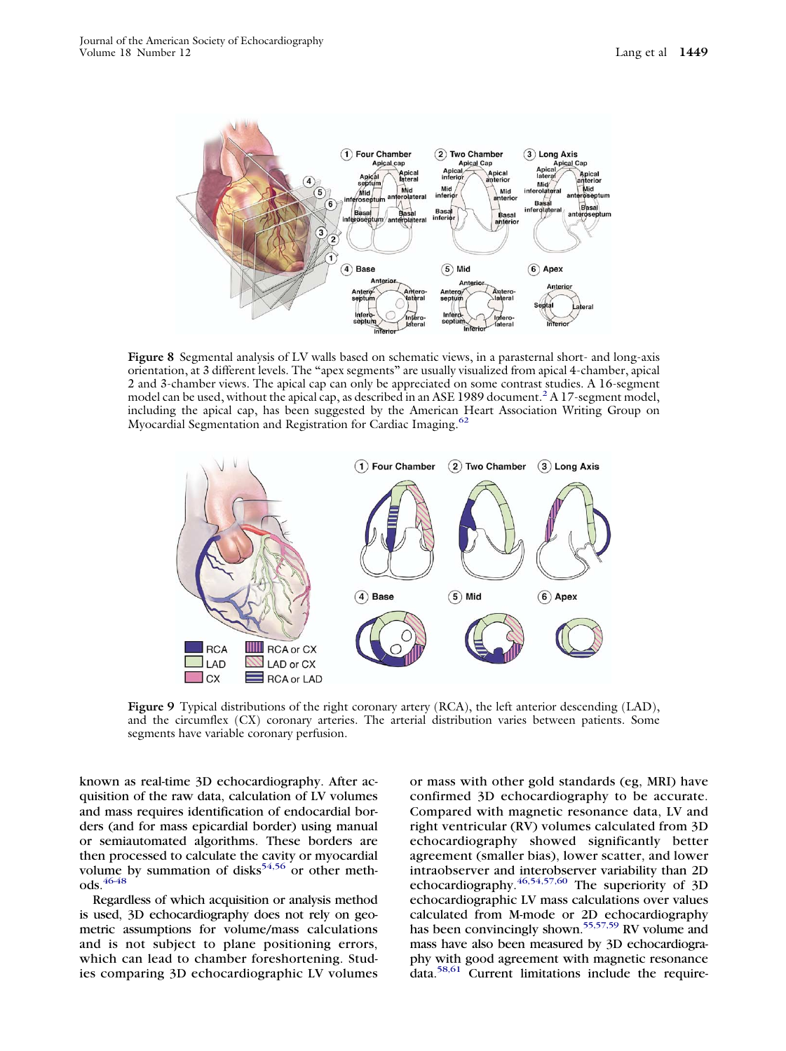<span id="page-9-0"></span>

**Figure 8** Segmental analysis of LV walls based on schematic views, in a parasternal short- and long-axis orientation, at 3 different levels. The "apex segments" are usually visualized from apical 4-chamber, apical 2 and 3-chamber views. The apical cap can only be appreciated on some contrast studies. A 16-segment model can be used, without the apical cap, as described in an ASE 1989 document.<sup>2</sup> A 17-segment model, including the apical cap, has been suggested by the American Heart Association Writing Group on Myocardial Segmentation and Registration for Cardiac Imaging.<sup>[62](#page-21-0)</sup>



**Figure 9** Typical distributions of the right coronary artery (RCA), the left anterior descending (LAD), and the circumflex (CX) coronary arteries. The arterial distribution varies between patients. Some segments have variable coronary perfusion.

known as real-time 3D echocardiography. After acquisition of the raw data, calculation of LV volumes and mass requires identification of endocardial borders (and for mass epicardial border) using manual or semiautomated algorithms. These borders are then processed to calculate the cavity or myocardial volume by summation of disks $54,56$  or other methods[.46-48](#page-20-0)

Regardless of which acquisition or analysis method is used, 3D echocardiography does not rely on geometric assumptions for volume/mass calculations and is not subject to plane positioning errors, which can lead to chamber foreshortening. Studies comparing 3D echocardiographic LV volumes

or mass with other gold standards (eg, MRI) have confirmed 3D echocardiography to be accurate. Compared with magnetic resonance data, LV and right ventricular (RV) volumes calculated from 3D echocardiography showed significantly better agreement (smaller bias), lower scatter, and lower intraobserver and interobserver variability than 2D echocardiography[.46,54,57,60](#page-20-0) The superiority of 3D echocardiographic LV mass calculations over values calculated from M-mode or 2D echocardiography has been convincingly shown.<sup>55,57,59</sup> RV volume and mass have also been measured by 3D echocardiography with good agreement with magnetic resonance data[.58,61](#page-21-0) Current limitations include the require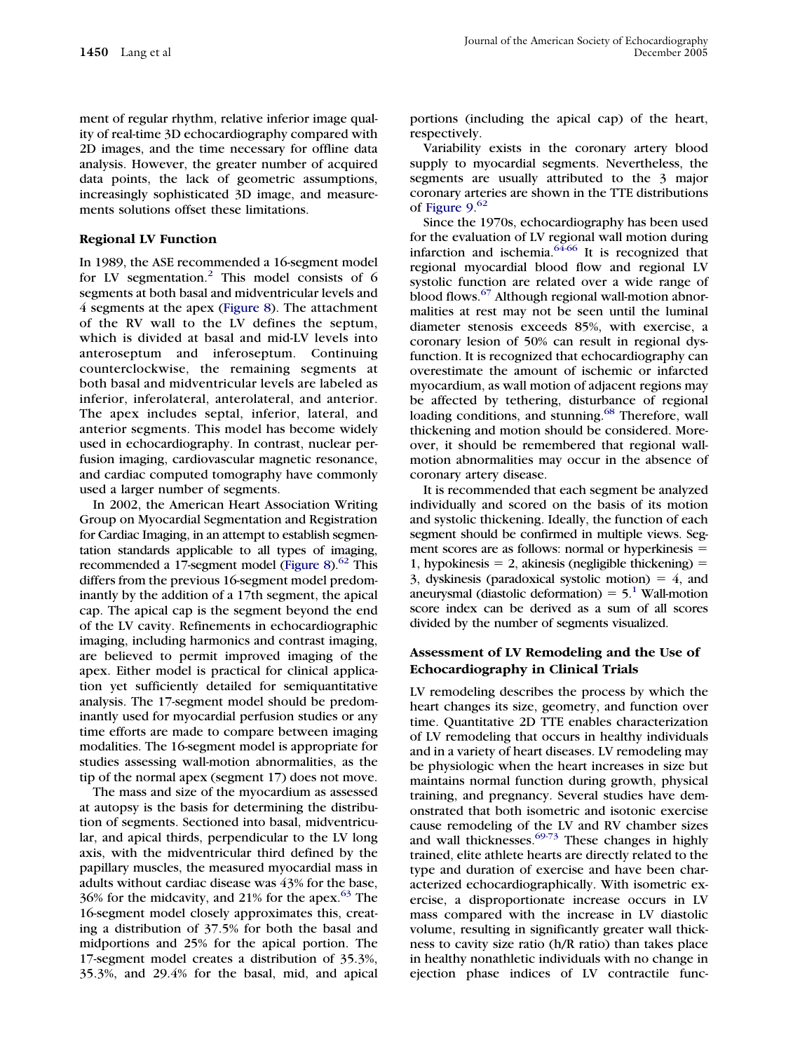ment of regular rhythm, relative inferior image quality of real-time 3D echocardiography compared with 2D images, and the time necessary for offline data analysis. However, the greater number of acquired data points, the lack of geometric assumptions, increasingly sophisticated 3D image, and measurements solutions offset these limitations.

## **Regional LV Function**

In 1989, the ASE recommended a 16-segment model for LV segmentation. $2$  This model consists of 6 segments at both basal and midventricular levels and 4 segments at the apex [\(Figure](#page-9-0) 8). The attachment of the RV wall to the LV defines the septum, which is divided at basal and mid-LV levels into anteroseptum and inferoseptum. Continuing counterclockwise, the remaining segments at both basal and midventricular levels are labeled as inferior, inferolateral, anterolateral, and anterior. The apex includes septal, inferior, lateral, and anterior segments. This model has become widely used in echocardiography. In contrast, nuclear perfusion imaging, cardiovascular magnetic resonance, and cardiac computed tomography have commonly used a larger number of segments.

In 2002, the American Heart Association Writing Group on Myocardial Segmentation and Registration for Cardiac Imaging, in an attempt to establish segmentation standards applicable to all types of imaging, recommended a 17-segment model [\(Figure](#page-9-0) 8). $62$  This differs from the previous 16-segment model predominantly by the addition of a 17th segment, the apical cap. The apical cap is the segment beyond the end of the LV cavity. Refinements in echocardiographic imaging, including harmonics and contrast imaging, are believed to permit improved imaging of the apex. Either model is practical for clinical application yet sufficiently detailed for semiquantitative analysis. The 17-segment model should be predominantly used for myocardial perfusion studies or any time efforts are made to compare between imaging modalities. The 16-segment model is appropriate for studies assessing wall-motion abnormalities, as the tip of the normal apex (segment 17) does not move.

The mass and size of the myocardium as assessed at autopsy is the basis for determining the distribution of segments. Sectioned into basal, midventricular, and apical thirds, perpendicular to the LV long axis, with the midventricular third defined by the papillary muscles, the measured myocardial mass in adults without cardiac disease was 43% for the base,  $36\%$  for the midcavity, and 21% for the apex.<sup>63</sup> The 16-segment model closely approximates this, creating a distribution of 37.5% for both the basal and midportions and 25% for the apical portion. The 17-segment model creates a distribution of 35.3%, 35.3%, and 29.4% for the basal, mid, and apical portions (including the apical cap) of the heart, respectively.

Variability exists in the coronary artery blood supply to myocardial segments. Nevertheless, the segments are usually attributed to the 3 major coronary arteries are shown in the TTE distributions of [Figure](#page-9-0) 9. [62](#page-21-0)

Since the 1970s, echocardiography has been used for the evaluation of LV regional wall motion during infarction and ischemia. $64-66$  It is recognized that regional myocardial blood flow and regional LV systolic function are related over a wide range of blood flows[.67](#page-21-0) Although regional wall-motion abnormalities at rest may not be seen until the luminal diameter stenosis exceeds 85%, with exercise, a coronary lesion of 50% can result in regional dysfunction. It is recognized that echocardiography can overestimate the amount of ischemic or infarcted myocardium, as wall motion of adjacent regions may be affected by tethering, disturbance of regional loading conditions, and stunning.<sup>68</sup> Therefore, wall thickening and motion should be considered. Moreover, it should be remembered that regional wallmotion abnormalities may occur in the absence of coronary artery disease.

It is recommended that each segment be analyzed individually and scored on the basis of its motion and systolic thickening. Ideally, the function of each segment should be confirmed in multiple views. Segment scores are as follows: normal or hyperkinesis = 1, hypokinesis  $= 2$ , akinesis (negligible thickening)  $=$  $3$ , dyskinesis (paradoxical systolic motion) = 4, and aneurysmal (diastolic deformation) =  $5<sup>1</sup>$  Wall-motion score index can be derived as a sum of all scores divided by the number of segments visualized.

## **Assessment of LV Remodeling and the Use of Echocardiography in Clinical Trials**

LV remodeling describes the process by which the heart changes its size, geometry, and function over time. Quantitative 2D TTE enables characterization of LV remodeling that occurs in healthy individuals and in a variety of heart diseases. LV remodeling may be physiologic when the heart increases in size but maintains normal function during growth, physical training, and pregnancy. Several studies have demonstrated that both isometric and isotonic exercise cause remodeling of the LV and RV chamber sizes and wall thicknesses. $69-73$  These changes in highly trained, elite athlete hearts are directly related to the type and duration of exercise and have been characterized echocardiographically. With isometric exercise, a disproportionate increase occurs in LV mass compared with the increase in LV diastolic volume, resulting in significantly greater wall thickness to cavity size ratio (h/R ratio) than takes place in healthy nonathletic individuals with no change in ejection phase indices of LV contractile func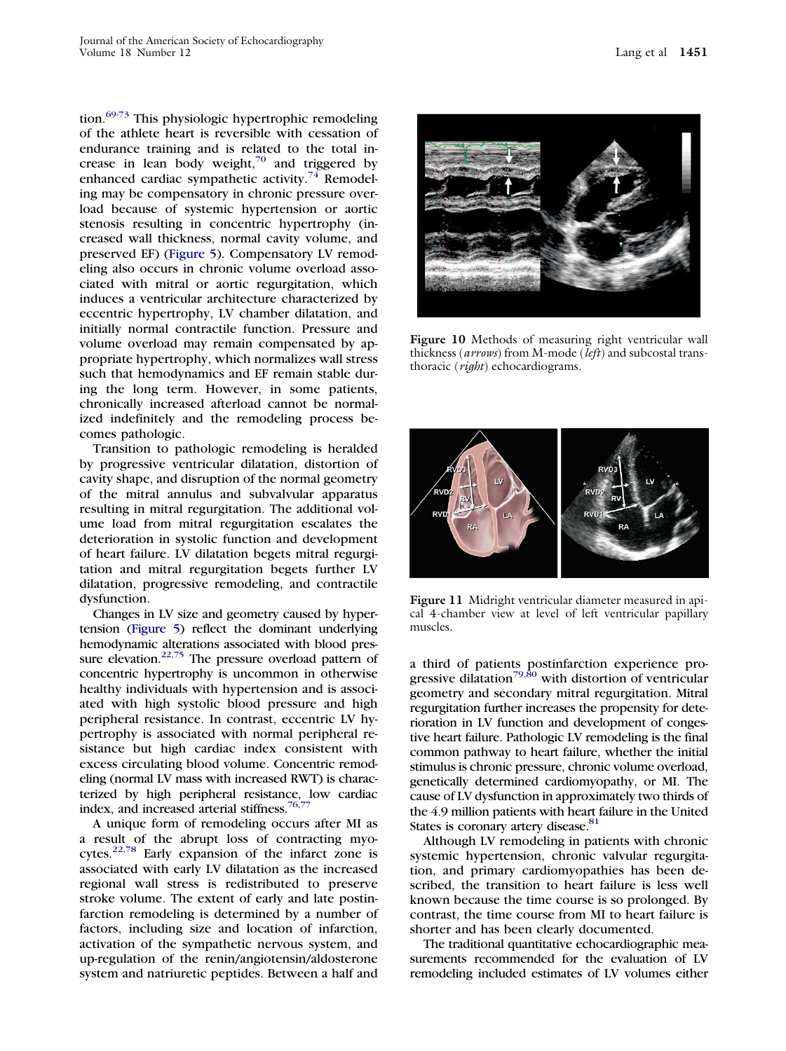<span id="page-11-0"></span>tion.[69-73](#page-21-0) This physiologic hypertrophic remodeling of the athlete heart is reversible with cessation of endurance training and is related to the total increase in lean body weight, $\frac{70}{3}$  and triggered by enhanced cardiac sympathetic activity.<sup>74</sup> Remodeling may be compensatory in chronic pressure overload because of systemic hypertension or aortic stenosis resulting in concentric hypertrophy (increased wall thickness, normal cavity volume, and preserved EF) [\(Figure](#page-5-0) 5). Compensatory LV remodeling also occurs in chronic volume overload associated with mitral or aortic regurgitation, which induces a ventricular architecture characterized by eccentric hypertrophy, LV chamber dilatation, and initially normal contractile function. Pressure and volume overload may remain compensated by appropriate hypertrophy, which normalizes wall stress such that hemodynamics and EF remain stable during the long term. However, in some patients, chronically increased afterload cannot be normalized indefinitely and the remodeling process becomes pathologic.

Transition to pathologic remodeling is heralded by progressive ventricular dilatation, distortion of cavity shape, and disruption of the normal geometry of the mitral annulus and subvalvular apparatus resulting in mitral regurgitation. The additional volume load from mitral regurgitation escalates the deterioration in systolic function and development of heart failure. LV dilatation begets mitral regurgitation and mitral regurgitation begets further LV dilatation, progressive remodeling, and contractile dysfunction.

Changes in LV size and geometry caused by hypertension [\(Figure](#page-5-0) 5) reflect the dominant underlying hemodynamic alterations associated with blood pressure elevation.<sup>22,75</sup> The pressure overload pattern of concentric hypertrophy is uncommon in otherwise healthy individuals with hypertension and is associated with high systolic blood pressure and high peripheral resistance. In contrast, eccentric LV hypertrophy is associated with normal peripheral resistance but high cardiac index consistent with excess circulating blood volume. Concentric remodeling (normal LV mass with increased RWT) is characterized by high peripheral resistance, low cardiac index, and increased arterial stiffness. $76,77$ 

A unique form of remodeling occurs after MI as a result of the abrupt loss of contracting myocytes.<sup>22,78</sup> Early expansion of the infarct zone is associated with early LV dilatation as the increased regional wall stress is redistributed to preserve stroke volume. The extent of early and late postinfarction remodeling is determined by a number of factors, including size and location of infarction, activation of the sympathetic nervous system, and up-regulation of the renin/angiotensin/aldosterone system and natriuretic peptides. Between a half and



**Figure 10** Methods of measuring right ventricular wall thickness (*arrows*) from M-mode (*left*) and subcostal transthoracic (*right*) echocardiograms.



**Figure 11** Midright ventricular diameter measured in apical 4-chamber view at level of left ventricular papillary muscles.

a third of patients postinfarction experience progressive dilatation<sup>79,80</sup> with distortion of ventricular geometry and secondary mitral regurgitation. Mitral regurgitation further increases the propensity for deterioration in LV function and development of congestive heart failure. Pathologic LV remodeling is the final common pathway to heart failure, whether the initial stimulus is chronic pressure, chronic volume overload, genetically determined cardiomyopathy, or MI. The cause of LV dysfunction in approximately two thirds of the 4.9 million patients with heart failure in the United States is coronary artery disease.<sup>81</sup>

Although LV remodeling in patients with chronic systemic hypertension, chronic valvular regurgitation, and primary cardiomyopathies has been described, the transition to heart failure is less well known because the time course is so prolonged. By contrast, the time course from MI to heart failure is shorter and has been clearly documented.

The traditional quantitative echocardiographic measurements recommended for the evaluation of LV remodeling included estimates of LV volumes either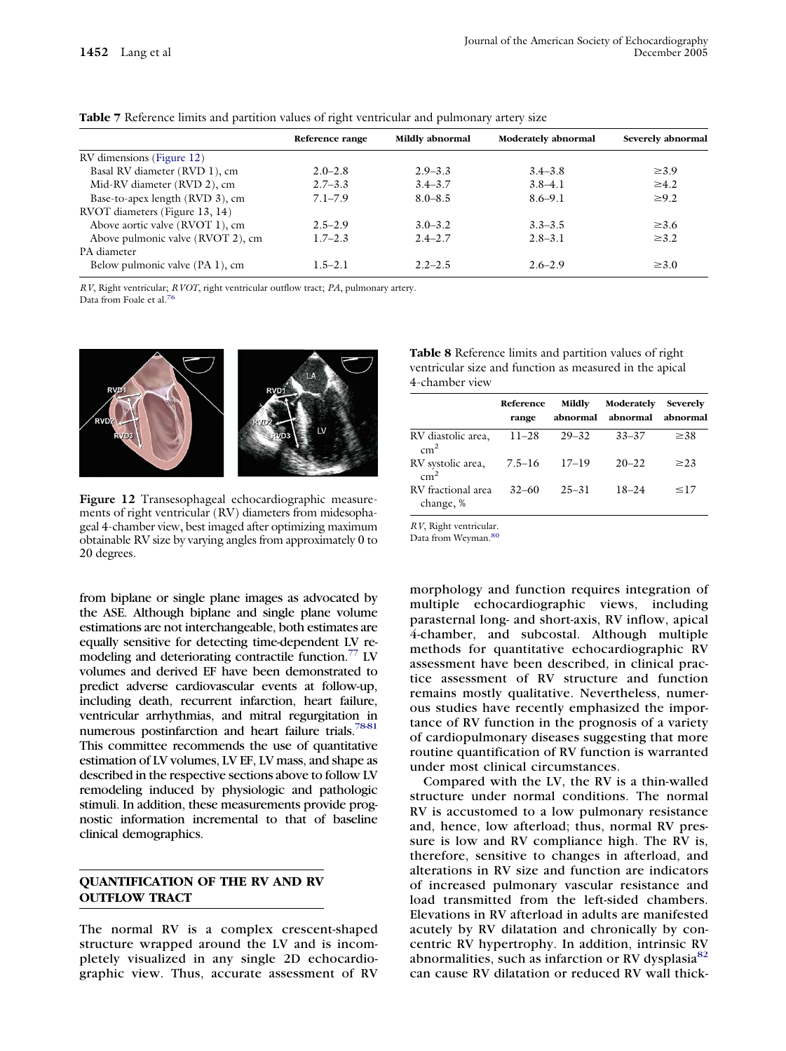|                                   | Reference range | Mildly abnormal | Moderately abnormal | Severely abnormal |
|-----------------------------------|-----------------|-----------------|---------------------|-------------------|
| RV dimensions (Figure 12)         |                 |                 |                     |                   |
| Basal RV diameter (RVD 1), cm     | $2.0 - 2.8$     | $2.9 - 3.3$     | $3.4 - 3.8$         | $\geq 3.9$        |
| Mid-RV diameter (RVD 2), cm       | $2.7 - 3.3$     | $3.4 - 3.7$     | $3.8 - 4.1$         | $\geq 4.2$        |
| Base-to-apex length (RVD 3), cm   | $7.1 - 7.9$     | $8.0 - 8.5$     | $8.6 - 9.1$         | $\geq 9.2$        |
| RVOT diameters (Figure 13, 14)    |                 |                 |                     |                   |
| Above aortic valve (RVOT 1), cm   | $2.5 - 2.9$     | $3.0 - 3.2$     | $3.3 - 3.5$         | $\geq 3.6$        |
| Above pulmonic valve (RVOT 2), cm | $1.7 - 2.3$     | $2.4 - 2.7$     | $2.8 - 3.1$         | $\geq$ 3.2        |
| PA diameter                       |                 |                 |                     |                   |
| Below pulmonic valve (PA 1), cm   | $1.5 - 2.1$     | $2.2 - 2.5$     | $2.6 - 2.9$         | $\geq 3.0$        |
|                                   |                 |                 |                     |                   |

<span id="page-12-0"></span>**Table 7** Reference limits and partition values of right ventricular and pulmonary artery size

*RV*, Right ventricular; *RVOT*, right ventricular outflow tract; *PA*, pulmonary artery. Data from Foale et al.<sup>[76](#page-21-0)</sup>



**Figure 12** Transesophageal echocardiographic measurements of right ventricular (RV) diameters from midesophageal 4-chamber view, best imaged after optimizing maximum obtainable RV size by varying angles from approximately 0 to 20 degrees.

from biplane or single plane images as advocated by the ASE. Although biplane and single plane volume estimations are not interchangeable, both estimates are equally sensitive for detecting time-dependent LV remodeling and deteriorating contractile function.<sup>77</sup> LV volumes and derived EF have been demonstrated to predict adverse cardiovascular events at follow-up, including death, recurrent infarction, heart failure, ventricular arrhythmias, and mitral regurgitation in numerous postinfarction and heart failure trials[.78-81](#page-21-0) This committee recommends the use of quantitative estimation of LV volumes, LV EF, LV mass, and shape as described in the respective sections above to follow LV remodeling induced by physiologic and pathologic stimuli. In addition, these measurements provide prognostic information incremental to that of baseline clinical demographics.

## **QUANTIFICATION OF THE RV AND RV OUTFLOW TRACT**

The normal RV is a complex crescent-shaped structure wrapped around the LV and is incompletely visualized in any single 2D echocardiographic view. Thus, accurate assessment of RV

| Table 8 Reference limits and partition values of right  |
|---------------------------------------------------------|
| ventricular size and function as measured in the apical |
| 4-chamber view                                          |

|                                       | Reference<br>range |           | Mildly Moderately Severely<br>abnormal abnormal abnormal |            |
|---------------------------------------|--------------------|-----------|----------------------------------------------------------|------------|
| RV diastolic area,<br>cm <sup>2</sup> | 11–28              | 29–32     | $33 - 37$                                                | $\geq 38$  |
| RV systolic area,<br>cm <sup>2</sup>  | $7.5 - 16$         | 17–19     | $20 - 22$                                                | $\geq$ 2.3 |
| RV fractional area<br>change, %       | $32 - 60$          | $25 - 31$ | $18 - 24$                                                | $\leq$ 17  |

*RV*, Right ventricular.

Data from Weyman.<sup>[80](#page-21-0)</sup>

morphology and function requires integration of multiple echocardiographic views, including parasternal long- and short-axis, RV inflow, apical 4-chamber, and subcostal. Although multiple methods for quantitative echocardiographic RV assessment have been described, in clinical practice assessment of RV structure and function remains mostly qualitative. Nevertheless, numerous studies have recently emphasized the importance of RV function in the prognosis of a variety of cardiopulmonary diseases suggesting that more routine quantification of RV function is warranted under most clinical circumstances.

Compared with the LV, the RV is a thin-walled structure under normal conditions. The normal RV is accustomed to a low pulmonary resistance and, hence, low afterload; thus, normal RV pressure is low and RV compliance high. The RV is, therefore, sensitive to changes in afterload, and alterations in RV size and function are indicators of increased pulmonary vascular resistance and load transmitted from the left-sided chambers. Elevations in RV afterload in adults are manifested acutely by RV dilatation and chronically by concentric RV hypertrophy. In addition, intrinsic RV abnormalities, such as infarction or RV dysplasia<sup>[82](#page-21-0)</sup> can cause RV dilatation or reduced RV wall thick-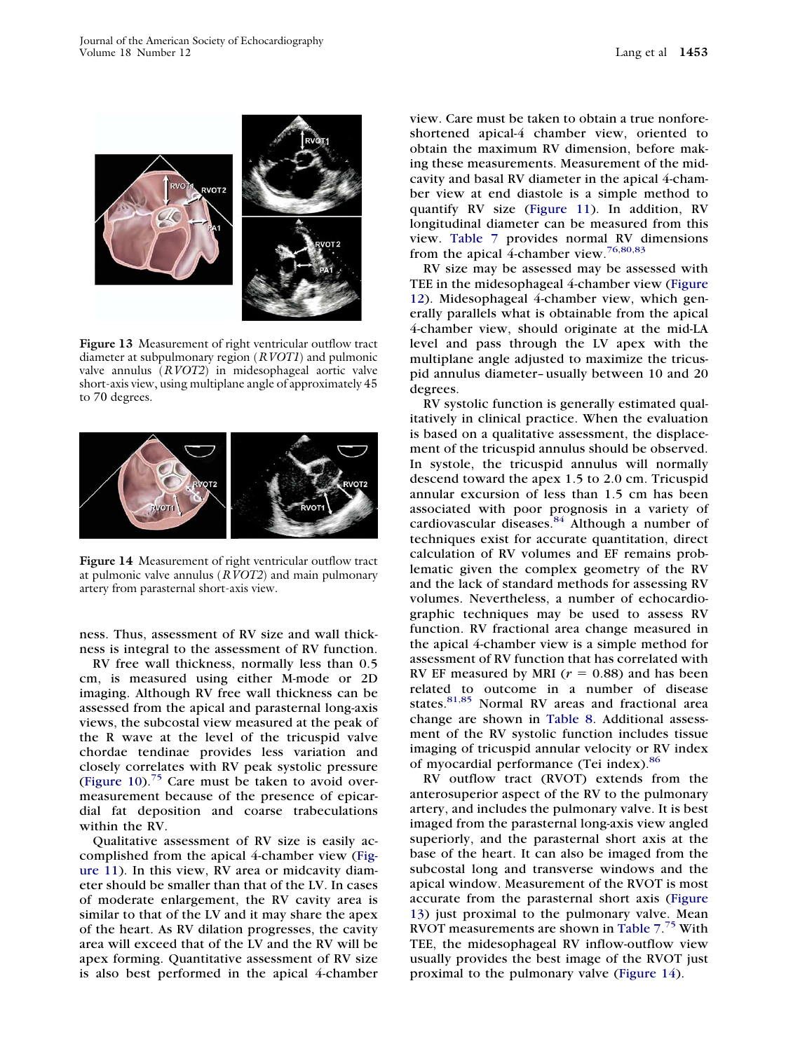

**Figure 13** Measurement of right ventricular outflow tract diameter at subpulmonary region (*RVOT1*) and pulmonic valve annulus (*RVOT2*) in midesophageal aortic valve short-axis view, using multiplane angle of approximately 45 to 70 degrees.



**Figure 14** Measurement of right ventricular outflow tract at pulmonic valve annulus (*RVOT2*) and main pulmonary artery from parasternal short-axis view.

ness. Thus, assessment of RV size and wall thickness is integral to the assessment of RV function.

RV free wall thickness, normally less than 0.5 cm, is measured using either M-mode or 2D imaging. Although RV free wall thickness can be assessed from the apical and parasternal long-axis views, the subcostal view measured at the peak of the R wave at the level of the tricuspid valve chordae tendinae provides less variation and closely correlates with RV peak systolic pressure [\(Figure](#page-11-0) 10).<sup>[75](#page-21-0)</sup> Care must be taken to avoid overmeasurement because of the presence of epicardial fat deposition and coarse trabeculations within the RV.

Qualitative assessment of RV size is easily accomplished from the apical 4-chamber view [\(Fig](#page-11-0)[ure](#page-11-0) 11). In this view, RV area or midcavity diameter should be smaller than that of the LV. In cases of moderate enlargement, the RV cavity area is similar to that of the LV and it may share the apex of the heart. As RV dilation progresses, the cavity area will exceed that of the LV and the RV will be apex forming. Quantitative assessment of RV size is also best performed in the apical 4-chamber

view. Care must be taken to obtain a true nonforeshortened apical-4 chamber view, oriented to obtain the maximum RV dimension, before making these measurements. Measurement of the midcavity and basal RV diameter in the apical 4-chamber view at end diastole is a simple method to quantify RV size [\(Figure](#page-11-0) 11). In addition, RV longitudinal diameter can be measured from this view. [Table](#page-12-0) 7 provides normal RV dimensions from the apical 4-chamber view.<sup>[76,80,83](#page-21-0)</sup>

RV size may be assessed may be assessed with TEE in the midesophageal 4-chamber view [\(Figure](#page-12-0) [12\)](#page-12-0). Midesophageal 4-chamber view, which generally parallels what is obtainable from the apical 4-chamber view, should originate at the mid-LA level and pass through the LV apex with the multiplane angle adjusted to maximize the tricuspid annulus diameter–usually between 10 and 20 degrees.

RV systolic function is generally estimated qualitatively in clinical practice. When the evaluation is based on a qualitative assessment, the displacement of the tricuspid annulus should be observed. In systole, the tricuspid annulus will normally descend toward the apex 1.5 to 2.0 cm. Tricuspid annular excursion of less than 1.5 cm has been associated with poor prognosis in a variety of cardiovascular diseases.<sup>[84](#page-22-0)</sup> Although a number of techniques exist for accurate quantitation, direct calculation of RV volumes and EF remains problematic given the complex geometry of the RV and the lack of standard methods for assessing RV volumes. Nevertheless, a number of echocardiographic techniques may be used to assess RV function. RV fractional area change measured in the apical 4-chamber view is a simple method for assessment of RV function that has correlated with RV EF measured by MRI  $(r = 0.88)$  and has been related to outcome in a number of disease states.[81,85](#page-21-0) Normal RV areas and fractional area change are shown in [Table](#page-12-0) 8. Additional assessment of the RV systolic function includes tissue imaging of tricuspid annular velocity or RV index of myocardial performance (Tei index).<sup>[86](#page-22-0)</sup>

RV outflow tract (RVOT) extends from the anterosuperior aspect of the RV to the pulmonary artery, and includes the pulmonary valve. It is best imaged from the parasternal long-axis view angled superiorly, and the parasternal short axis at the base of the heart. It can also be imaged from the subcostal long and transverse windows and the apical window. Measurement of the RVOT is most accurate from the parasternal short axis (Figure 13) just proximal to the pulmonary valve. Mean RVOT measurements are shown in [Table](#page-12-0) 7. [75](#page-21-0) With TEE, the midesophageal RV inflow-outflow view usually provides the best image of the RVOT just proximal to the pulmonary valve (Figure 14).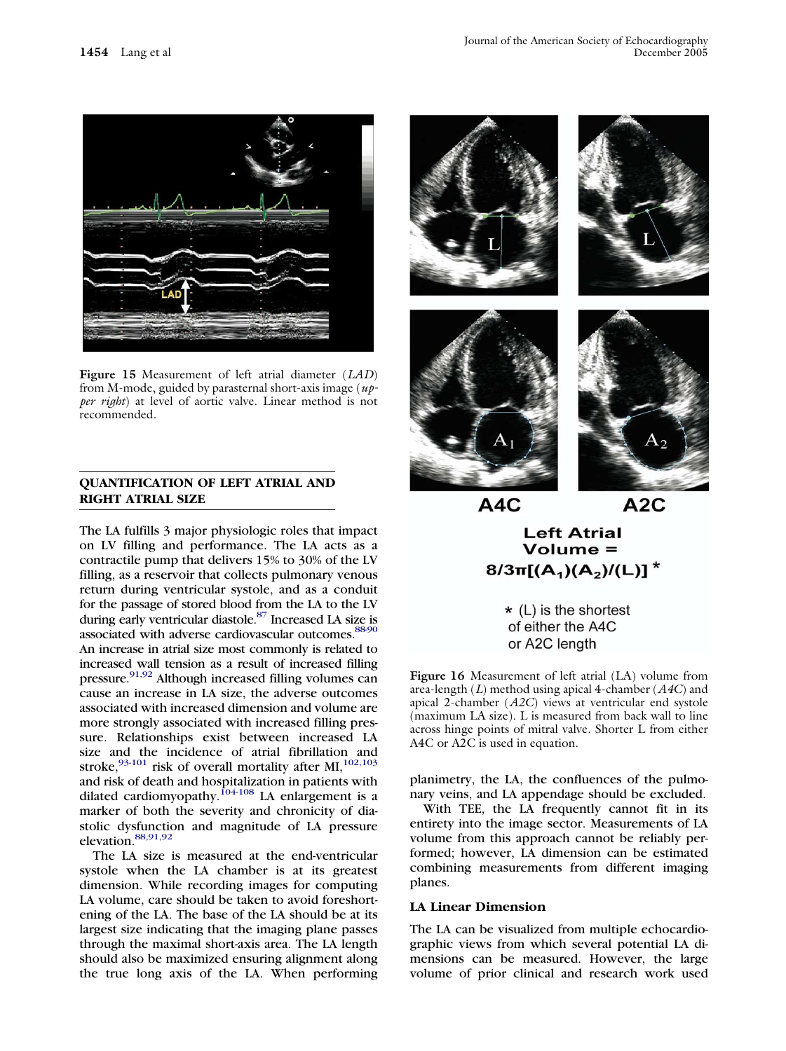<span id="page-14-0"></span>

**Figure 15** Measurement of left atrial diameter (*LAD*) from M-mode, guided by parasternal short-axis image (*upper right*) at level of aortic valve. Linear method is not recommended.

## **QUANTIFICATION OF LEFT ATRIAL AND RIGHT ATRIAL SIZE**

The LA fulfills 3 major physiologic roles that impact on LV filling and performance. The LA acts as a contractile pump that delivers 15% to 30% of the LV filling, as a reservoir that collects pulmonary venous return during ventricular systole, and as a conduit for the passage of stored blood from the LA to the LV during early ventricular diastole.<sup>87</sup> Increased LA size is associated with adverse cardiovascular outcomes. 88-90 An increase in atrial size most commonly is related to increased wall tension as a result of increased filling pressure.<sup>91,92</sup> Although increased filling volumes can cause an increase in LA size, the adverse outcomes associated with increased dimension and volume are more strongly associated with increased filling pressure. Relationships exist between increased LA size and the incidence of atrial fibrillation and stroke, $93-101$  risk of overall mortality after MI,  $102,103$ and risk of death and hospitalization in patients with dilated cardiomyopathy.<sup>104-108</sup> LA enlargement is a marker of both the severity and chronicity of diastolic dysfunction and magnitude of LA pressure elevation.[88,91,92](#page-22-0)

The LA size is measured at the end-ventricular systole when the LA chamber is at its greatest dimension. While recording images for computing LA volume, care should be taken to avoid foreshortening of the LA. The base of the LA should be at its largest size indicating that the imaging plane passes through the maximal short-axis area. The LA length should also be maximized ensuring alignment along the true long axis of the LA. When performing



# **Left Atrial** Volume =  $8/3\pi[(A_1)(A_2)/(L)]^*$

 $\star$  (L) is the shortest of either the A4C or A2C length

Figure 16 Measurement of left atrial (LA) volume from area-length (*L*) method using apical 4-chamber (*A4C*) and apical 2-chamber (*A2C*) views at ventricular end systole (maximum LA size). L is measured from back wall to line across hinge points of mitral valve. Shorter L from either A4C or A2C is used in equation.

planimetry, the LA, the confluences of the pulmonary veins, and LA appendage should be excluded.

With TEE, the LA frequently cannot fit in its entirety into the image sector. Measurements of LA volume from this approach cannot be reliably performed; however, LA dimension can be estimated combining measurements from different imaging planes.

#### **LA Linear Dimension**

The LA can be visualized from multiple echocardiographic views from which several potential LA dimensions can be measured. However, the large volume of prior clinical and research work used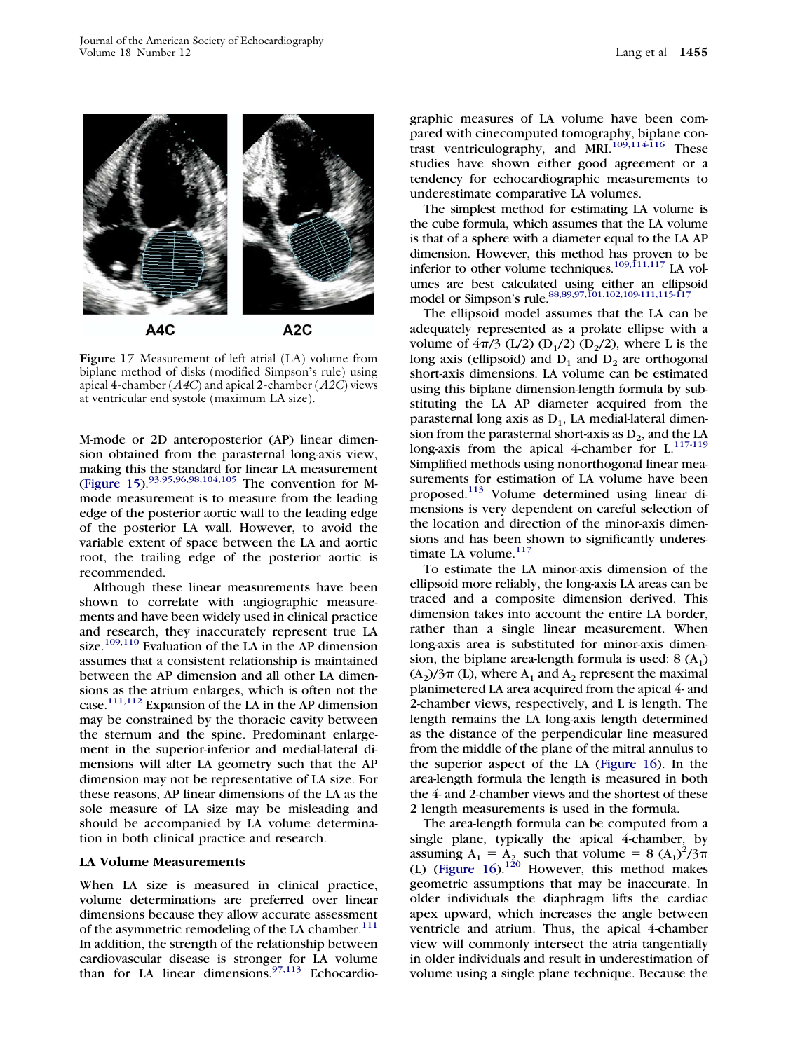<span id="page-15-0"></span>

**Figure 17** Measurement of left atrial (LA) volume from biplane method of disks (modified Simpson's rule) using apical 4-chamber (*A4C*) and apical 2-chamber (*A2C*) views at ventricular end systole (maximum LA size).

M-mode or 2D anteroposterior (AP) linear dimension obtained from the parasternal long-axis view, making this the standard for linear LA measurement [\(Figure](#page-14-0) 15).  $93,95,96,98,104,105$  The convention for Mmode measurement is to measure from the leading edge of the posterior aortic wall to the leading edge of the posterior LA wall. However, to avoid the variable extent of space between the LA and aortic root, the trailing edge of the posterior aortic is recommended.

Although these linear measurements have been shown to correlate with angiographic measurements and have been widely used in clinical practice and research, they inaccurately represent true LA size.<sup>109,110</sup> Evaluation of the LA in the AP dimension assumes that a consistent relationship is maintained between the AP dimension and all other LA dimensions as the atrium enlarges, which is often not the case[.111,112](#page-22-0) Expansion of the LA in the AP dimension may be constrained by the thoracic cavity between the sternum and the spine. Predominant enlargement in the superior-inferior and medial-lateral dimensions will alter LA geometry such that the AP dimension may not be representative of LA size. For these reasons, AP linear dimensions of the LA as the sole measure of LA size may be misleading and should be accompanied by LA volume determination in both clinical practice and research.

#### **LA Volume Measurements**

When LA size is measured in clinical practice, volume determinations are preferred over linear dimensions because they allow accurate assessment of the asymmetric remodeling of the LA chamber.<sup>111</sup> In addition, the strength of the relationship between cardiovascular disease is stronger for LA volume than for LA linear dimensions. $97,113$  Echocardiographic measures of LA volume have been compared with cinecomputed tomography, biplane contrast ventriculography, and MRI.<sup>109,114-116</sup> These studies have shown either good agreement or a tendency for echocardiographic measurements to underestimate comparative LA volumes.

The simplest method for estimating LA volume is the cube formula, which assumes that the LA volume is that of a sphere with a diameter equal to the LA AP dimension. However, this method has proven to be inferior to other volume techniques.<sup>109,111,117</sup> LA volumes are best calculated using either an ellipsoid model or Simpson's rule.<sup>88,89,97,101,102,109-111,115-117</sup>

The ellipsoid model assumes that the LA can be adequately represented as a prolate ellipse with a volume of  $4\pi/3$  (L/2) (D<sub>1</sub>/2) (D<sub>2</sub>/2), where L is the long axis (ellipsoid) and  $D_1$  and  $D_2$  are orthogonal short-axis dimensions. LA volume can be estimated using this biplane dimension-length formula by substituting the LA AP diameter acquired from the parasternal long axis as  $D_1$ , LA medial-lateral dimension from the parasternal short-axis as  $D_2$ , and the LA long-axis from the apical 4-chamber for L.<sup>117-119</sup> Simplified methods using nonorthogonal linear measurements for estimation of LA volume have been proposed[.113](#page-23-0) Volume determined using linear dimensions is very dependent on careful selection of the location and direction of the minor-axis dimensions and has been shown to significantly underestimate LA volume.<sup>117</sup>

To estimate the LA minor-axis dimension of the ellipsoid more reliably, the long-axis LA areas can be traced and a composite dimension derived. This dimension takes into account the entire LA border, rather than a single linear measurement. When long-axis area is substituted for minor-axis dimension, the biplane area-length formula is used:  $8(A_1)$  $(A_2)/3\pi$  (L), where  $A_1$  and  $A_2$  represent the maximal planimetered LA area acquired from the apical 4- and 2-chamber views, respectively, and L is length. The length remains the LA long-axis length determined as the distance of the perpendicular line measured from the middle of the plane of the mitral annulus to the superior aspect of the LA [\(Figure](#page-14-0) 16). In the area-length formula the length is measured in both the 4- and 2-chamber views and the shortest of these 2 length measurements is used in the formula.

The area-length formula can be computed from a single plane, typically the apical 4-chamber, by assuming  $A_1 = A_2$  such that volume = 8  $(A_1)^2/3\pi$ (L) [\(Figure](#page-14-0) 16).<sup>120</sup> However, this method makes geometric assumptions that may be inaccurate. In older individuals the diaphragm lifts the cardiac apex upward, which increases the angle between ventricle and atrium. Thus, the apical 4-chamber view will commonly intersect the atria tangentially in older individuals and result in underestimation of volume using a single plane technique. Because the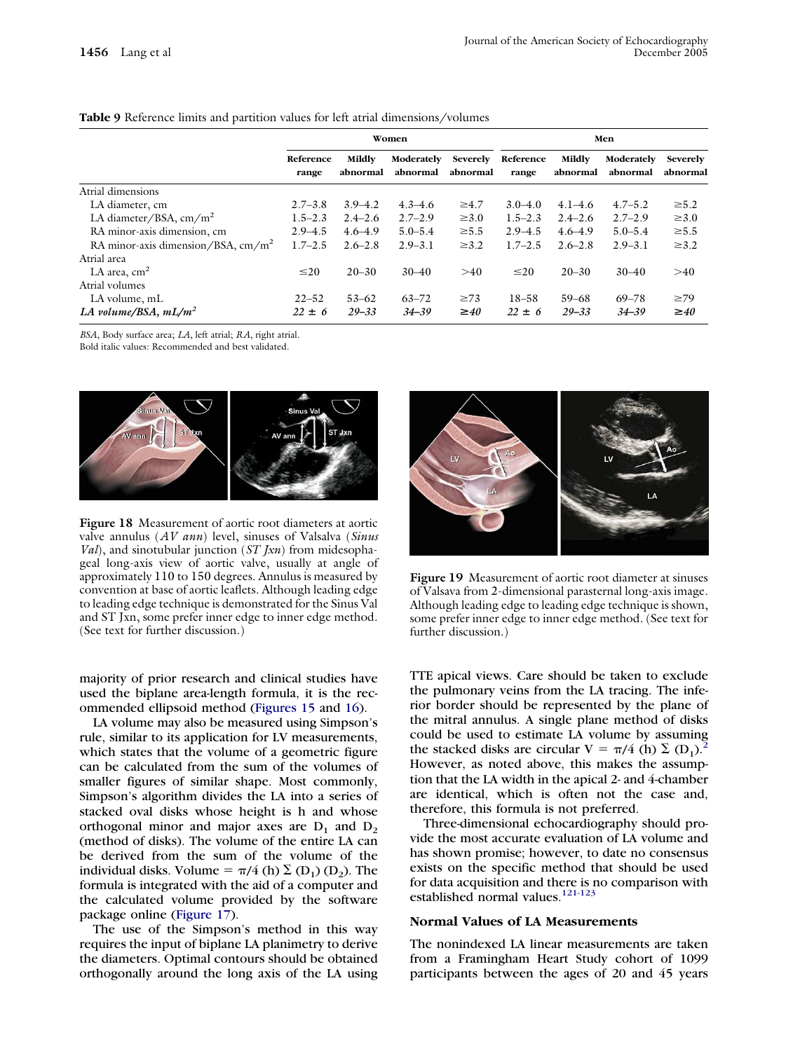|                                      | Women              |                    |                        |                      | Men                |                    |                        |                             |
|--------------------------------------|--------------------|--------------------|------------------------|----------------------|--------------------|--------------------|------------------------|-----------------------------|
|                                      | Reference<br>range | Mildly<br>abnormal | Moderately<br>abnormal | Severely<br>abnormal | Reference<br>range | Mildly<br>abnormal | Moderately<br>abnormal | <b>Severely</b><br>abnormal |
| Atrial dimensions                    |                    |                    |                        |                      |                    |                    |                        |                             |
| LA diameter, cm                      | $2.7 - 3.8$        | $3.9 - 4.2$        | $4.3 - 4.6$            | $\geq 4.7$           | $3.0 - 4.0$        | $4.1 - 4.6$        | $4.7 - 5.2$            | $\geq 5.2$                  |
| LA diameter/BSA, cm/m <sup>2</sup>   | $1.5 - 2.3$        | $2.4 - 2.6$        | $2.7 - 2.9$            | $\geq 3.0$           | $1.5 - 2.3$        | $2.4 - 2.6$        | $2.7 - 2.9$            | $\geq 3.0$                  |
| RA minor-axis dimension, cm          | $2.9 - 4.5$        | $4.6 - 4.9$        | $5.0 - 5.4$            | $\geq 5.5$           | $2.9 - 4.5$        | $4.6 - 4.9$        | $5.0 - 5.4$            | $\geq 5.5$                  |
| RA minor-axis dimension/BSA, $cm/m2$ | $1.7 - 2.5$        | $2.6 - 2.8$        | $2.9 - 3.1$            | $\geq 3.2$           | $1.7 - 2.5$        | $2.6 - 2.8$        | $2.9 - 3.1$            | $\geq 3.2$                  |
| Atrial area                          |                    |                    |                        |                      |                    |                    |                        |                             |
| LA area, $cm2$                       | $\leq 20$          | $20 - 30$          | $30 - 40$              | >40                  | $\leq 20$          | $20 - 30$          | $30 - 40$              | >40                         |
| Atrial volumes                       |                    |                    |                        |                      |                    |                    |                        |                             |
| LA volume, mL                        | $22 - 52$          | $53 - 62$          | $63 - 72$              | $\geq$ 73            | $18 - 58$          | $59 - 68$          | 69–78                  | $\geq$ 79                   |
| LA volume/BSA, $mL/m^2$              | $22 \pm 6$         | $29 - 33$          | $34 - 39$              | $\geq 40$            | $22 \pm 6$         | $29 - 33$          | $34 - 39$              | $\geq 40$                   |

<span id="page-16-0"></span>**Table 9** Reference limits and partition values for left atrial dimensions/volumes

*BSA*, Body surface area; *LA*, left atrial; *RA*, right atrial.

Bold italic values: Recommended and best validated.



**Figure 18** Measurement of aortic root diameters at aortic valve annulus (*AV ann*) level, sinuses of Valsalva (*Sinus Val*), and sinotubular junction (*ST Jxn*) from midesophageal long-axis view of aortic valve, usually at angle of approximately 110 to 150 degrees. Annulus is measured by convention at base of aortic leaflets. Although leading edge to leading edge technique is demonstrated for the Sinus Val and ST Jxn, some prefer inner edge to inner edge method. (See text for further discussion.)

majority of prior research and clinical studies have used the biplane area-length formula, it is the recommended ellipsoid method [\(Figures](#page-14-0) 15 and [16\)](#page-14-0).

LA volume may also be measured using Simpson's rule, similar to its application for LV measurements, which states that the volume of a geometric figure can be calculated from the sum of the volumes of smaller figures of similar shape. Most commonly, Simpson's algorithm divides the LA into a series of stacked oval disks whose height is h and whose orthogonal minor and major axes are  $D_1$  and  $D_2$ (method of disks). The volume of the entire LA can be derived from the sum of the volume of the individual disks. Volume =  $\pi/4$  (h)  $\Sigma$  (D<sub>1</sub>) (D<sub>2</sub>). The formula is integrated with the aid of a computer and the calculated volume provided by the software package online [\(Figure](#page-15-0) 17).

The use of the Simpson's method in this way requires the input of biplane LA planimetry to derive the diameters. Optimal contours should be obtained orthogonally around the long axis of the LA using



**Figure 19** Measurement of aortic root diameter at sinuses of Valsava from 2-dimensional parasternal long-axis image. Although leading edge to leading edge technique is shown, some prefer inner edge to inner edge method. (See text for further discussion.)

TTE apical views. Care should be taken to exclude the pulmonary veins from the LA tracing. The inferior border should be represented by the plane of the mitral annulus. A single plane method of disks could be used to estimate LA volume by assuming the stacked disks are circular  $V = \pi/4$  (h)  $\Sigma$  (D<sub>1</sub>).<sup>2</sup> However, as noted above, this makes the assumption that the LA width in the apical 2- and 4-chamber are identical, which is often not the case and, therefore, this formula is not preferred.

Three-dimensional echocardiography should provide the most accurate evaluation of LA volume and has shown promise; however, to date no consensus exists on the specific method that should be used for data acquisition and there is no comparison with established normal values.<sup>121-123</sup>

#### **Normal Values of LA Measurements**

The nonindexed LA linear measurements are taken from a Framingham Heart Study cohort of 1099 participants between the ages of 20 and 45 years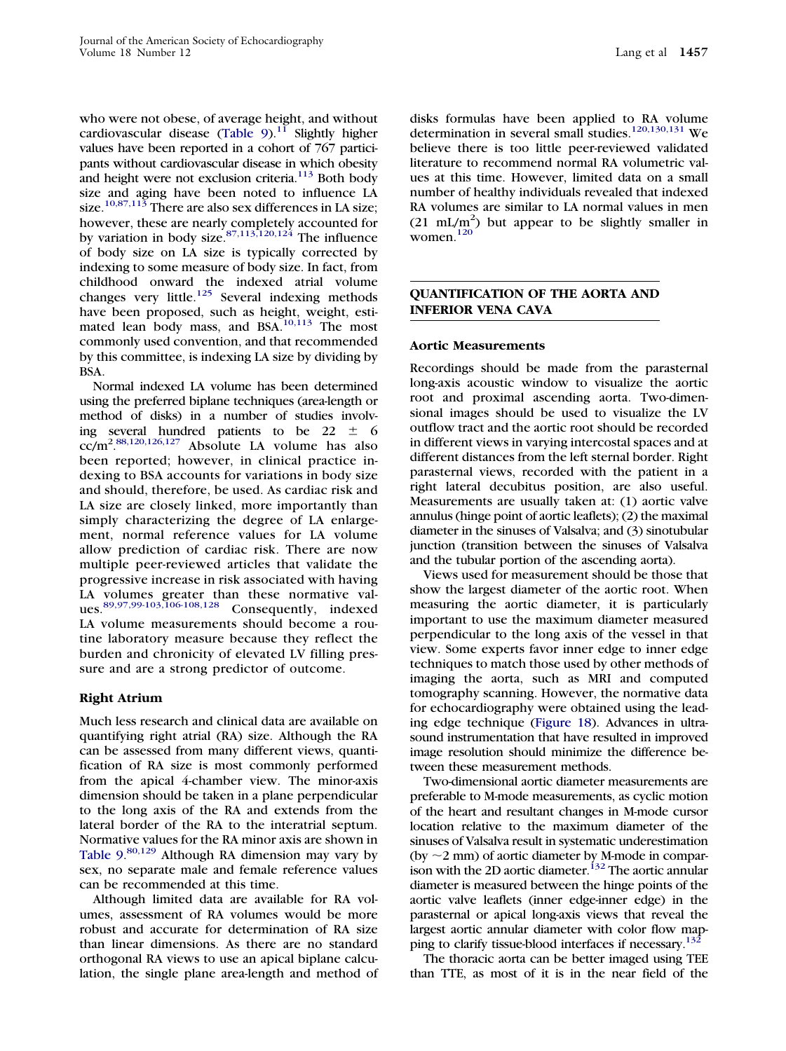who were not obese, of average height, and without cardiovascular disease [\(Table](#page-16-0) 9). $11$  Slightly higher values have been reported in a cohort of 767 participants without cardiovascular disease in which obesity and height were not exclusion criteria. $113$  Both body size and aging have been noted to influence LA size.<sup>10,87,113</sup> There are also sex differences in LA size; however, these are nearly completely accounted for by variation in body size.<sup>87,113,120,124</sup> The influence of body size on LA size is typically corrected by indexing to some measure of body size. In fact, from childhood onward the indexed atrial volume changes very little.<sup>125</sup> Several indexing methods have been proposed, such as height, weight, estimated lean body mass, and BSA.<sup>10,113</sup> The most commonly used convention, and that recommended by this committee, is indexing LA size by dividing by BSA.

Normal indexed LA volume has been determined using the preferred biplane techniques (area-length or method of disks) in a number of studies involving several hundred patients to be  $22 \pm 6$ cc/m2 . [88,120,126,127](#page-22-0) Absolute LA volume has also been reported; however, in clinical practice indexing to BSA accounts for variations in body size and should, therefore, be used. As cardiac risk and LA size are closely linked, more importantly than simply characterizing the degree of LA enlargement, normal reference values for LA volume allow prediction of cardiac risk. There are now multiple peer-reviewed articles that validate the progressive increase in risk associated with having LA volumes greater than these normative values.  $89,97,99-103,106-108,128$  Consequently, indexed LA volume measurements should become a routine laboratory measure because they reflect the burden and chronicity of elevated LV filling pressure and are a strong predictor of outcome.

#### **Right Atrium**

Much less research and clinical data are available on quantifying right atrial (RA) size. Although the RA can be assessed from many different views, quantification of RA size is most commonly performed from the apical 4-chamber view. The minor-axis dimension should be taken in a plane perpendicular to the long axis of the RA and extends from the lateral border of the RA to the interatrial septum. Normative values for the RA minor axis are shown in [Table](#page-16-0) 9.<sup>[80,129](#page-21-0)</sup> Although RA dimension may vary by sex, no separate male and female reference values can be recommended at this time.

Although limited data are available for RA volumes, assessment of RA volumes would be more robust and accurate for determination of RA size than linear dimensions. As there are no standard orthogonal RA views to use an apical biplane calculation, the single plane area-length and method of disks formulas have been applied to RA volume determination in several small studies[.120,130,131](#page-23-0) We believe there is too little peer-reviewed validated literature to recommend normal RA volumetric values at this time. However, limited data on a small number of healthy individuals revealed that indexed RA volumes are similar to LA normal values in men  $(21 \text{ mL/m}^2)$  but appear to be slightly smaller in women.<sup>120</sup>

## **QUANTIFICATION OF THE AORTA AND INFERIOR VENA CAVA**

#### **Aortic Measurements**

Recordings should be made from the parasternal long-axis acoustic window to visualize the aortic root and proximal ascending aorta. Two-dimensional images should be used to visualize the LV outflow tract and the aortic root should be recorded in different views in varying intercostal spaces and at different distances from the left sternal border. Right parasternal views, recorded with the patient in a right lateral decubitus position, are also useful. Measurements are usually taken at: (1) aortic valve annulus (hinge point of aortic leaflets); (2) the maximal diameter in the sinuses of Valsalva; and (3) sinotubular junction (transition between the sinuses of Valsalva and the tubular portion of the ascending aorta).

Views used for measurement should be those that show the largest diameter of the aortic root. When measuring the aortic diameter, it is particularly important to use the maximum diameter measured perpendicular to the long axis of the vessel in that view. Some experts favor inner edge to inner edge techniques to match those used by other methods of imaging the aorta, such as MRI and computed tomography scanning. However, the normative data for echocardiography were obtained using the leading edge technique [\(Figure](#page-16-0) 18). Advances in ultrasound instrumentation that have resulted in improved image resolution should minimize the difference between these measurement methods.

Two-dimensional aortic diameter measurements are preferable to M-mode measurements, as cyclic motion of the heart and resultant changes in M-mode cursor location relative to the maximum diameter of the sinuses of Valsalva result in systematic underestimation (by  $\sim$  2 mm) of aortic diameter by M-mode in comparison with the 2D aortic diameter.<sup>132</sup> The aortic annular diameter is measured between the hinge points of the aortic valve leaflets (inner edge-inner edge) in the parasternal or apical long-axis views that reveal the largest aortic annular diameter with color flow mapping to clarify tissue-blood interfaces if necessary.<sup>132</sup>

The thoracic aorta can be better imaged using TEE than TTE, as most of it is in the near field of the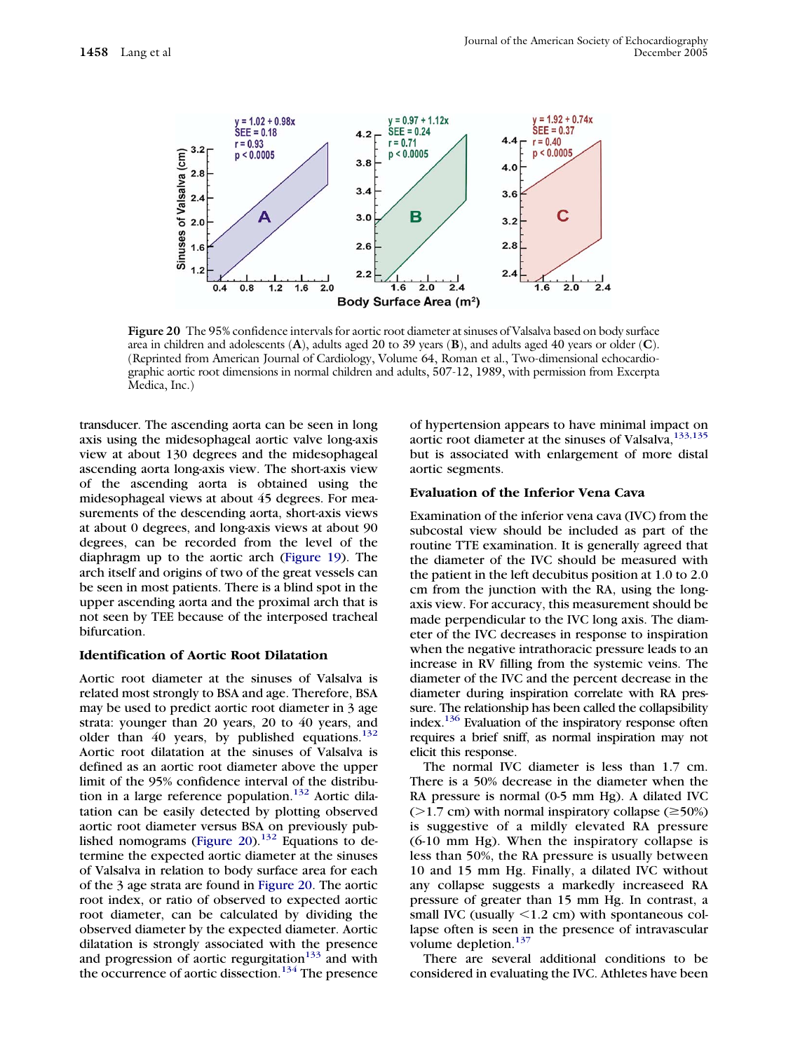

**Figure 20** The 95% confidence intervals for aortic root diameter at sinuses of Valsalva based on body surface area in children and adolescents (**A**), adults aged 20 to 39 years (**B**), and adults aged 40 years or older (**C**). (Reprinted from American Journal of Cardiology, Volume 64, Roman et al., Two-dimensional echocardiographic aortic root dimensions in normal children and adults, 507-12, 1989, with permission from Excerpta Medica, Inc.)

transducer. The ascending aorta can be seen in long axis using the midesophageal aortic valve long-axis view at about 130 degrees and the midesophageal ascending aorta long-axis view. The short-axis view of the ascending aorta is obtained using the midesophageal views at about 45 degrees. For measurements of the descending aorta, short-axis views at about 0 degrees, and long-axis views at about 90 degrees, can be recorded from the level of the diaphragm up to the aortic arch [\(Figure](#page-16-0) 19). The arch itself and origins of two of the great vessels can be seen in most patients. There is a blind spot in the upper ascending aorta and the proximal arch that is not seen by TEE because of the interposed tracheal bifurcation.

#### **Identification of Aortic Root Dilatation**

Aortic root diameter at the sinuses of Valsalva is related most strongly to BSA and age. Therefore, BSA may be used to predict aortic root diameter in 3 age strata: younger than 20 years, 20 to 40 years, and older than 40 years, by published equations. $132$ Aortic root dilatation at the sinuses of Valsalva is defined as an aortic root diameter above the upper limit of the 95% confidence interval of the distribution in a large reference population.<sup>132</sup> Aortic dilatation can be easily detected by plotting observed aortic root diameter versus BSA on previously published nomograms (Figure 20).<sup>132</sup> Equations to determine the expected aortic diameter at the sinuses of Valsalva in relation to body surface area for each of the 3 age strata are found in Figure 20. The aortic root index, or ratio of observed to expected aortic root diameter, can be calculated by dividing the observed diameter by the expected diameter. Aortic dilatation is strongly associated with the presence and progression of aortic regurgitation<sup>133</sup> and with the occurrence of aortic dissection.<sup>134</sup> The presence

of hypertension appears to have minimal impact on aortic root diameter at the sinuses of Valsalva,<sup>133,135</sup> but is associated with enlargement of more distal aortic segments.

## **Evaluation of the Inferior Vena Cava**

Examination of the inferior vena cava (IVC) from the subcostal view should be included as part of the routine TTE examination. It is generally agreed that the diameter of the IVC should be measured with the patient in the left decubitus position at 1.0 to 2.0 cm from the junction with the RA, using the longaxis view. For accuracy, this measurement should be made perpendicular to the IVC long axis. The diameter of the IVC decreases in response to inspiration when the negative intrathoracic pressure leads to an increase in RV filling from the systemic veins. The diameter of the IVC and the percent decrease in the diameter during inspiration correlate with RA pressure. The relationship has been called the collapsibility index[.136](#page-23-0) Evaluation of the inspiratory response often requires a brief sniff, as normal inspiration may not elicit this response.

The normal IVC diameter is less than 1.7 cm. There is a 50% decrease in the diameter when the RA pressure is normal (0-5 mm Hg). A dilated IVC ( $>1.7$  cm) with normal inspiratory collapse ( $\geq$ 50%) is suggestive of a mildly elevated RA pressure (6-10 mm Hg). When the inspiratory collapse is less than 50%, the RA pressure is usually between 10 and 15 mm Hg. Finally, a dilated IVC without any collapse suggests a markedly increaseed RA pressure of greater than 15 mm Hg. In contrast, a small IVC (usually  $\leq 1.2$  cm) with spontaneous collapse often is seen in the presence of intravascular volume depletion.<sup>137</sup>

There are several additional conditions to be considered in evaluating the IVC. Athletes have been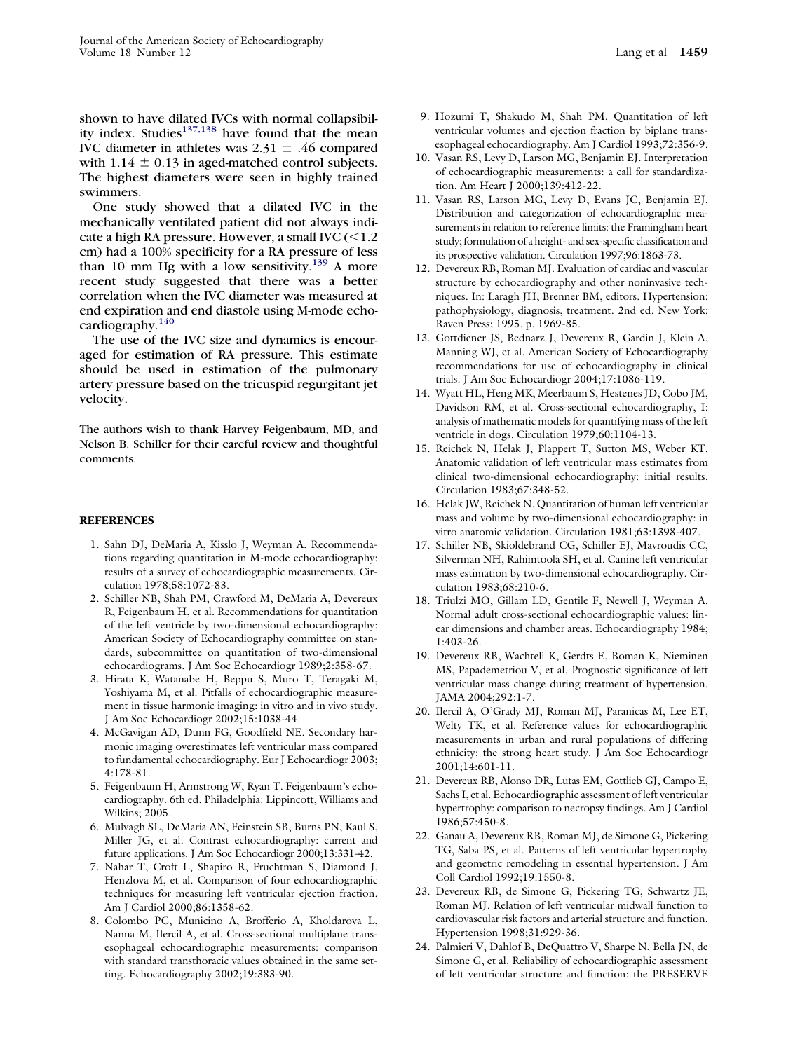<span id="page-19-0"></span>shown to have dilated IVCs with normal collapsibility index. Studies $137,138$  have found that the mean IVC diameter in athletes was  $2.31 \pm .46$  compared with  $1.14 \pm 0.13$  in aged-matched control subjects. The highest diameters were seen in highly trained swimmers.

One study showed that a dilated IVC in the mechanically ventilated patient did not always indicate a high RA pressure. However, a small IVC  $\ll 1.2$ cm) had a 100% specificity for a RA pressure of less than 10 mm Hg with a low sensitivity.<sup>139</sup> A more recent study suggested that there was a better correlation when the IVC diameter was measured at end expiration and end diastole using M-mode echocardiography[.140](#page-23-0)

The use of the IVC size and dynamics is encouraged for estimation of RA pressure. This estimate should be used in estimation of the pulmonary artery pressure based on the tricuspid regurgitant jet velocity.

The authors wish to thank Harvey Feigenbaum, MD, and Nelson B. Schiller for their careful review and thoughtful comments.

#### **REFERENCES**

- 1. Sahn DJ, DeMaria A, Kisslo J, Weyman A. Recommendations regarding quantitation in M-mode echocardiography: results of a survey of echocardiographic measurements. Circulation 1978;58:1072-83.
- 2. Schiller NB, Shah PM, Crawford M, DeMaria A, Devereux R, Feigenbaum H, et al. Recommendations for quantitation of the left ventricle by two-dimensional echocardiography: American Society of Echocardiography committee on standards, subcommittee on quantitation of two-dimensional echocardiograms. J Am Soc Echocardiogr 1989;2:358-67.
- 3. Hirata K, Watanabe H, Beppu S, Muro T, Teragaki M, Yoshiyama M, et al. Pitfalls of echocardiographic measurement in tissue harmonic imaging: in vitro and in vivo study. J Am Soc Echocardiogr 2002;15:1038-44.
- 4. McGavigan AD, Dunn FG, Goodfield NE. Secondary harmonic imaging overestimates left ventricular mass compared to fundamental echocardiography. Eur J Echocardiogr 2003; 4:178-81.
- 5. Feigenbaum H, Armstrong W, Ryan T. Feigenbaum's echocardiography. 6th ed. Philadelphia: Lippincott, Williams and Wilkins; 2005.
- 6. Mulvagh SL, DeMaria AN, Feinstein SB, Burns PN, Kaul S, Miller JG, et al. Contrast echocardiography: current and future applications. J Am Soc Echocardiogr 2000;13:331-42.
- 7. Nahar T, Croft L, Shapiro R, Fruchtman S, Diamond J, Henzlova M, et al. Comparison of four echocardiographic techniques for measuring left ventricular ejection fraction. Am J Cardiol 2000;86:1358-62.
- 8. Colombo PC, Municino A, Brofferio A, Kholdarova L, Nanna M, Ilercil A, et al. Cross-sectional multiplane transesophageal echocardiographic measurements: comparison with standard transthoracic values obtained in the same setting. Echocardiography 2002;19:383-90.
- 9. Hozumi T, Shakudo M, Shah PM. Quantitation of left ventricular volumes and ejection fraction by biplane transesophageal echocardiography. Am J Cardiol 1993;72:356-9.
- 10. Vasan RS, Levy D, Larson MG, Benjamin EJ. Interpretation of echocardiographic measurements: a call for standardization. Am Heart J 2000;139:412-22.
- 11. Vasan RS, Larson MG, Levy D, Evans JC, Benjamin EJ. Distribution and categorization of echocardiographic measurements in relation to reference limits: the Framingham heart study; formulation of a height- and sex-specific classification and its prospective validation. Circulation 1997;96:1863-73.
- 12. Devereux RB, Roman MJ. Evaluation of cardiac and vascular structure by echocardiography and other noninvasive techniques. In: Laragh JH, Brenner BM, editors. Hypertension: pathophysiology, diagnosis, treatment. 2nd ed. New York: Raven Press; 1995. p. 1969-85.
- 13. Gottdiener JS, Bednarz J, Devereux R, Gardin J, Klein A, Manning WJ, et al. American Society of Echocardiography recommendations for use of echocardiography in clinical trials. J Am Soc Echocardiogr 2004;17:1086-119.
- 14. Wyatt HL, Heng MK, Meerbaum S, Hestenes JD, Cobo JM, Davidson RM, et al. Cross-sectional echocardiography, I: analysis of mathematic models for quantifying mass of the left ventricle in dogs. Circulation 1979;60:1104-13.
- 15. Reichek N, Helak J, Plappert T, Sutton MS, Weber KT. Anatomic validation of left ventricular mass estimates from clinical two-dimensional echocardiography: initial results. Circulation 1983;67:348-52.
- 16. Helak JW, Reichek N. Quantitation of human left ventricular mass and volume by two-dimensional echocardiography: in vitro anatomic validation. Circulation 1981;63:1398-407.
- 17. Schiller NB, Skioldebrand CG, Schiller EJ, Mavroudis CC, Silverman NH, Rahimtoola SH, et al. Canine left ventricular mass estimation by two-dimensional echocardiography. Circulation 1983;68:210-6.
- 18. Triulzi MO, Gillam LD, Gentile F, Newell J, Weyman A. Normal adult cross-sectional echocardiographic values: linear dimensions and chamber areas. Echocardiography 1984; 1:403-26.
- 19. Devereux RB, Wachtell K, Gerdts E, Boman K, Nieminen MS, Papademetriou V, et al. Prognostic significance of left ventricular mass change during treatment of hypertension. JAMA 2004;292:1-7.
- 20. Ilercil A, O'Grady MJ, Roman MJ, Paranicas M, Lee ET, Welty TK, et al. Reference values for echocardiographic measurements in urban and rural populations of differing ethnicity: the strong heart study. J Am Soc Echocardiogr 2001;14:601-11.
- 21. Devereux RB, Alonso DR, Lutas EM, Gottlieb GJ, Campo E, Sachs I, et al. Echocardiographic assessment of left ventricular hypertrophy: comparison to necropsy findings. Am J Cardiol 1986;57:450-8.
- 22. Ganau A, Devereux RB, Roman MJ, de Simone G, Pickering TG, Saba PS, et al. Patterns of left ventricular hypertrophy and geometric remodeling in essential hypertension. J Am Coll Cardiol 1992;19:1550-8.
- 23. Devereux RB, de Simone G, Pickering TG, Schwartz JE, Roman MJ. Relation of left ventricular midwall function to cardiovascular risk factors and arterial structure and function. Hypertension 1998;31:929-36.
- 24. Palmieri V, Dahlof B, DeQuattro V, Sharpe N, Bella JN, de Simone G, et al. Reliability of echocardiographic assessment of left ventricular structure and function: the PRESERVE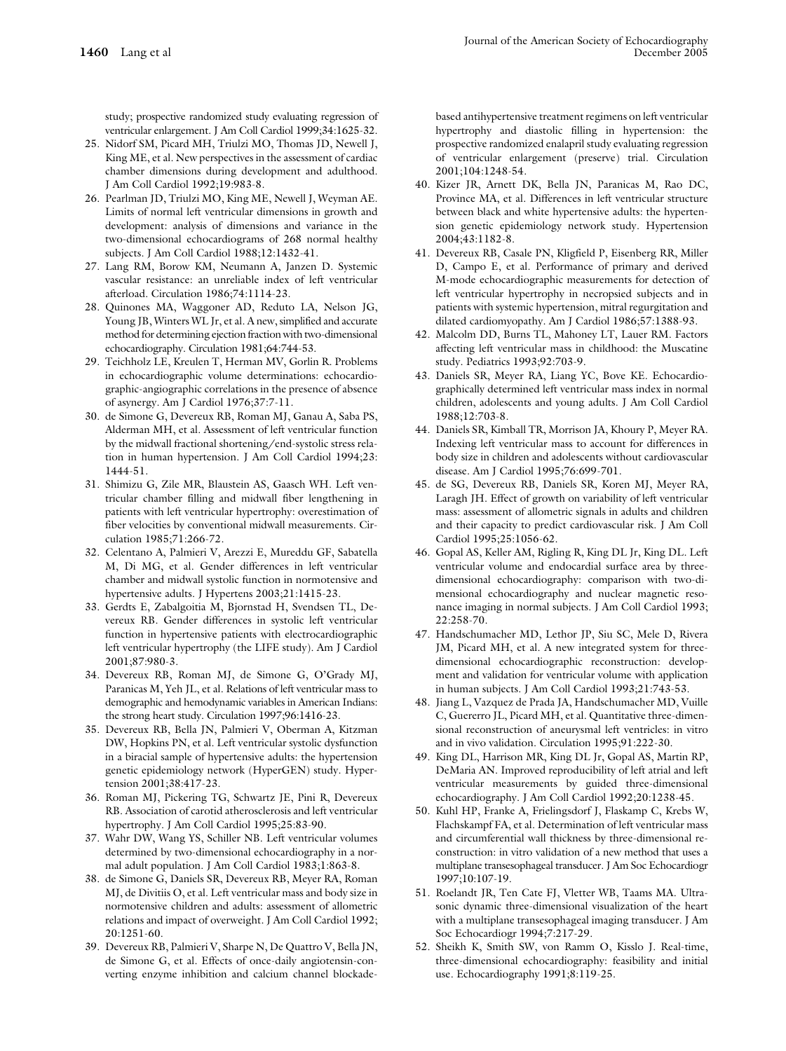<span id="page-20-0"></span>study; prospective randomized study evaluating regression of ventricular enlargement. J Am Coll Cardiol 1999;34:1625-32.

- 25. Nidorf SM, Picard MH, Triulzi MO, Thomas JD, Newell J, King ME, et al. New perspectives in the assessment of cardiac chamber dimensions during development and adulthood. J Am Coll Cardiol 1992;19:983-8.
- 26. Pearlman JD, Triulzi MO, King ME, Newell J, Weyman AE. Limits of normal left ventricular dimensions in growth and development: analysis of dimensions and variance in the two-dimensional echocardiograms of 268 normal healthy subjects. J Am Coll Cardiol 1988;12:1432-41.
- 27. Lang RM, Borow KM, Neumann A, Janzen D. Systemic vascular resistance: an unreliable index of left ventricular afterload. Circulation 1986;74:1114-23.
- 28. Quinones MA, Waggoner AD, Reduto LA, Nelson JG, Young JB, Winters WL Jr, et al. A new, simplified and accurate method for determining ejection fraction with two-dimensional echocardiography. Circulation 1981;64:744-53.
- 29. Teichholz LE, Kreulen T, Herman MV, Gorlin R. Problems in echocardiographic volume determinations: echocardiographic-angiographic correlations in the presence of absence of asynergy. Am J Cardiol 1976;37:7-11.
- 30. de Simone G, Devereux RB, Roman MJ, Ganau A, Saba PS, Alderman MH, et al. Assessment of left ventricular function by the midwall fractional shortening/end-systolic stress relation in human hypertension. J Am Coll Cardiol 1994;23: 1444-51.
- 31. Shimizu G, Zile MR, Blaustein AS, Gaasch WH. Left ventricular chamber filling and midwall fiber lengthening in patients with left ventricular hypertrophy: overestimation of fiber velocities by conventional midwall measurements. Circulation 1985;71:266-72.
- 32. Celentano A, Palmieri V, Arezzi E, Mureddu GF, Sabatella M, Di MG, et al. Gender differences in left ventricular chamber and midwall systolic function in normotensive and hypertensive adults. J Hypertens 2003;21:1415-23.
- 33. Gerdts E, Zabalgoitia M, Bjornstad H, Svendsen TL, Devereux RB. Gender differences in systolic left ventricular function in hypertensive patients with electrocardiographic left ventricular hypertrophy (the LIFE study). Am J Cardiol 2001;87:980-3.
- 34. Devereux RB, Roman MJ, de Simone G, O'Grady MJ, Paranicas M, Yeh JL, et al. Relations of left ventricular mass to demographic and hemodynamic variables in American Indians: the strong heart study. Circulation 1997;96:1416-23.
- 35. Devereux RB, Bella JN, Palmieri V, Oberman A, Kitzman DW, Hopkins PN, et al. Left ventricular systolic dysfunction in a biracial sample of hypertensive adults: the hypertension genetic epidemiology network (HyperGEN) study. Hypertension 2001;38:417-23.
- 36. Roman MJ, Pickering TG, Schwartz JE, Pini R, Devereux RB. Association of carotid atherosclerosis and left ventricular hypertrophy. J Am Coll Cardiol 1995;25:83-90.
- 37. Wahr DW, Wang YS, Schiller NB. Left ventricular volumes determined by two-dimensional echocardiography in a normal adult population. J Am Coll Cardiol 1983;1:863-8.
- 38. de Simone G, Daniels SR, Devereux RB, Meyer RA, Roman MJ, de Divitiis O, et al. Left ventricular mass and body size in normotensive children and adults: assessment of allometric relations and impact of overweight. J Am Coll Cardiol 1992; 20:1251-60.
- 39. Devereux RB, Palmieri V, Sharpe N, De Quattro V, Bella JN, de Simone G, et al. Effects of once-daily angiotensin-converting enzyme inhibition and calcium channel blockade-

based antihypertensive treatment regimens on left ventricular hypertrophy and diastolic filling in hypertension: the prospective randomized enalapril study evaluating regression of ventricular enlargement (preserve) trial. Circulation 2001;104:1248-54.

- 40. Kizer JR, Arnett DK, Bella JN, Paranicas M, Rao DC, Province MA, et al. Differences in left ventricular structure between black and white hypertensive adults: the hypertension genetic epidemiology network study. Hypertension 2004;43:1182-8.
- 41. Devereux RB, Casale PN, Kligfield P, Eisenberg RR, Miller D, Campo E, et al. Performance of primary and derived M-mode echocardiographic measurements for detection of left ventricular hypertrophy in necropsied subjects and in patients with systemic hypertension, mitral regurgitation and dilated cardiomyopathy. Am J Cardiol 1986;57:1388-93.
- 42. Malcolm DD, Burns TL, Mahoney LT, Lauer RM. Factors affecting left ventricular mass in childhood: the Muscatine study. Pediatrics 1993;92:703-9.
- 43. Daniels SR, Meyer RA, Liang YC, Bove KE. Echocardiographically determined left ventricular mass index in normal children, adolescents and young adults. J Am Coll Cardiol 1988;12:703-8.
- 44. Daniels SR, Kimball TR, Morrison JA, Khoury P, Meyer RA. Indexing left ventricular mass to account for differences in body size in children and adolescents without cardiovascular disease. Am J Cardiol 1995;76:699-701.
- 45. de SG, Devereux RB, Daniels SR, Koren MJ, Meyer RA, Laragh JH. Effect of growth on variability of left ventricular mass: assessment of allometric signals in adults and children and their capacity to predict cardiovascular risk. J Am Coll Cardiol 1995;25:1056-62.
- 46. Gopal AS, Keller AM, Rigling R, King DL Jr, King DL. Left ventricular volume and endocardial surface area by threedimensional echocardiography: comparison with two-dimensional echocardiography and nuclear magnetic resonance imaging in normal subjects. J Am Coll Cardiol 1993; 22:258-70.
- 47. Handschumacher MD, Lethor JP, Siu SC, Mele D, Rivera JM, Picard MH, et al. A new integrated system for threedimensional echocardiographic reconstruction: development and validation for ventricular volume with application in human subjects. J Am Coll Cardiol 1993;21:743-53.
- 48. Jiang L, Vazquez de Prada JA, Handschumacher MD, Vuille C, Guererro JL, Picard MH, et al. Quantitative three-dimensional reconstruction of aneurysmal left ventricles: in vitro and in vivo validation. Circulation 1995;91:222-30.
- 49. King DL, Harrison MR, King DL Jr, Gopal AS, Martin RP, DeMaria AN. Improved reproducibility of left atrial and left ventricular measurements by guided three-dimensional echocardiography. J Am Coll Cardiol 1992;20:1238-45.
- 50. Kuhl HP, Franke A, Frielingsdorf J, Flaskamp C, Krebs W, Flachskampf FA, et al. Determination of left ventricular mass and circumferential wall thickness by three-dimensional reconstruction: in vitro validation of a new method that uses a multiplane transesophageal transducer. J Am Soc Echocardiogr 1997;10:107-19.
- 51. Roelandt JR, Ten Cate FJ, Vletter WB, Taams MA. Ultrasonic dynamic three-dimensional visualization of the heart with a multiplane transesophageal imaging transducer. J Am Soc Echocardiogr 1994;7:217-29.
- 52. Sheikh K, Smith SW, von Ramm O, Kisslo J. Real-time, three-dimensional echocardiography: feasibility and initial use. Echocardiography 1991;8:119-25.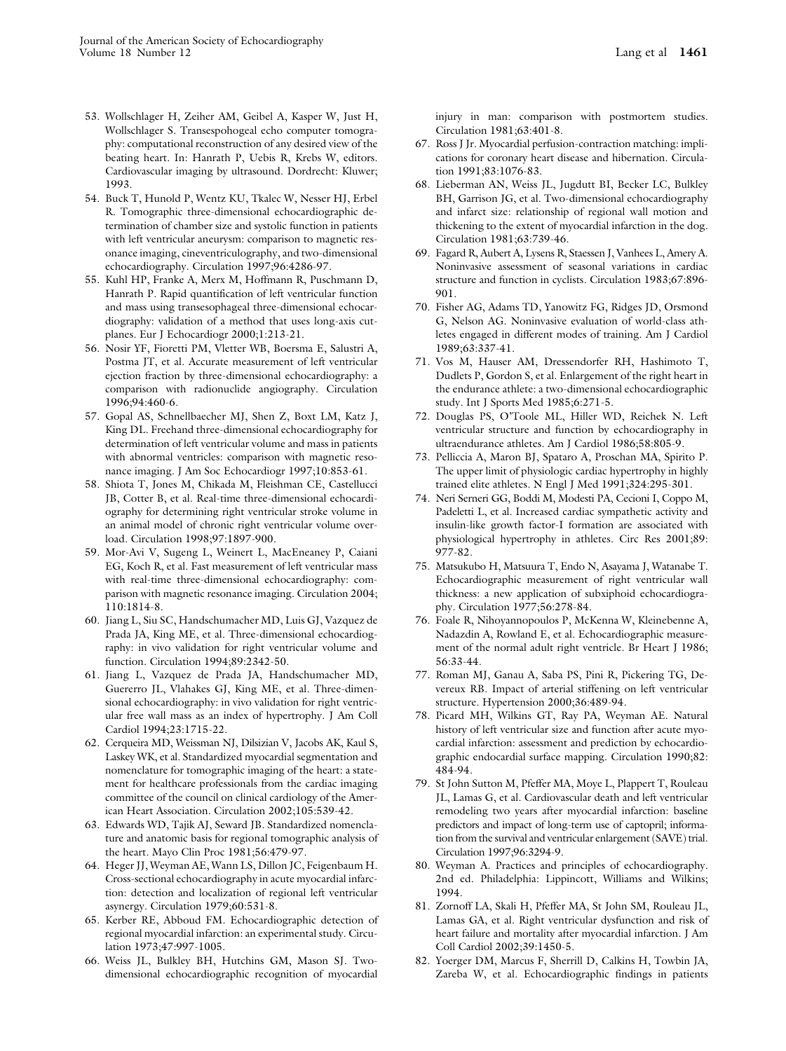- <span id="page-21-0"></span>53. Wollschlager H, Zeiher AM, Geibel A, Kasper W, Just H, Wollschlager S. Transespohogeal echo computer tomography: computational reconstruction of any desired view of the beating heart. In: Hanrath P, Uebis R, Krebs W, editors. Cardiovascular imaging by ultrasound. Dordrecht: Kluwer; 1993.
- 54. Buck T, Hunold P, Wentz KU, Tkalec W, Nesser HJ, Erbel R. Tomographic three-dimensional echocardiographic determination of chamber size and systolic function in patients with left ventricular aneurysm: comparison to magnetic resonance imaging, cineventriculography, and two-dimensional echocardiography. Circulation 1997;96:4286-97.
- 55. Kuhl HP, Franke A, Merx M, Hoffmann R, Puschmann D, Hanrath P. Rapid quantification of left ventricular function and mass using transesophageal three-dimensional echocardiography: validation of a method that uses long-axis cutplanes. Eur J Echocardiogr 2000;1:213-21.
- 56. Nosir YF, Fioretti PM, Vletter WB, Boersma E, Salustri A, Postma JT, et al. Accurate measurement of left ventricular ejection fraction by three-dimensional echocardiography: a comparison with radionuclide angiography. Circulation 1996;94:460-6.
- 57. Gopal AS, Schnellbaecher MJ, Shen Z, Boxt LM, Katz J, King DL. Freehand three-dimensional echocardiography for determination of left ventricular volume and mass in patients with abnormal ventricles: comparison with magnetic resonance imaging. J Am Soc Echocardiogr 1997;10:853-61.
- 58. Shiota T, Jones M, Chikada M, Fleishman CE, Castellucci JB, Cotter B, et al. Real-time three-dimensional echocardiography for determining right ventricular stroke volume in an animal model of chronic right ventricular volume overload. Circulation 1998;97:1897-900.
- 59. Mor-Avi V, Sugeng L, Weinert L, MacEneaney P, Caiani EG, Koch R, et al. Fast measurement of left ventricular mass with real-time three-dimensional echocardiography: comparison with magnetic resonance imaging. Circulation 2004; 110:1814-8.
- 60. Jiang L, Siu SC, Handschumacher MD, Luis GJ, Vazquez de Prada JA, King ME, et al. Three-dimensional echocardiography: in vivo validation for right ventricular volume and function. Circulation 1994;89:2342-50.
- 61. Jiang L, Vazquez de Prada JA, Handschumacher MD, Guererro JL, Vlahakes GJ, King ME, et al. Three-dimensional echocardiography: in vivo validation for right ventricular free wall mass as an index of hypertrophy. J Am Coll Cardiol 1994;23:1715-22.
- 62. Cerqueira MD, Weissman NJ, Dilsizian V, Jacobs AK, Kaul S, Laskey WK, et al. Standardized myocardial segmentation and nomenclature for tomographic imaging of the heart: a statement for healthcare professionals from the cardiac imaging committee of the council on clinical cardiology of the American Heart Association. Circulation 2002;105:539-42.
- 63. Edwards WD, Tajik AJ, Seward JB. Standardized nomenclature and anatomic basis for regional tomographic analysis of the heart. Mayo Clin Proc 1981;56:479-97.
- 64. Heger JJ, Weyman AE, Wann LS, Dillon JC, Feigenbaum H. Cross-sectional echocardiography in acute myocardial infarction: detection and localization of regional left ventricular asynergy. Circulation 1979;60:531-8.
- 65. Kerber RE, Abboud FM. Echocardiographic detection of regional myocardial infarction: an experimental study. Circulation 1973;47:997-1005.
- 66. Weiss JL, Bulkley BH, Hutchins GM, Mason SJ. Twodimensional echocardiographic recognition of myocardial

injury in man: comparison with postmortem studies. Circulation 1981;63:401-8.

- 67. Ross J Jr. Myocardial perfusion-contraction matching: implications for coronary heart disease and hibernation. Circulation 1991;83:1076-83.
- 68. Lieberman AN, Weiss JL, Jugdutt BI, Becker LC, Bulkley BH, Garrison JG, et al. Two-dimensional echocardiography and infarct size: relationship of regional wall motion and thickening to the extent of myocardial infarction in the dog. Circulation 1981;63:739-46.
- 69. Fagard R, Aubert A, Lysens R, Staessen J, Vanhees L, Amery A. Noninvasive assessment of seasonal variations in cardiac structure and function in cyclists. Circulation 1983;67:896- 901.
- 70. Fisher AG, Adams TD, Yanowitz FG, Ridges JD, Orsmond G, Nelson AG. Noninvasive evaluation of world-class athletes engaged in different modes of training. Am J Cardiol 1989;63:337-41.
- 71. Vos M, Hauser AM, Dressendorfer RH, Hashimoto T, Dudlets P, Gordon S, et al. Enlargement of the right heart in the endurance athlete: a two-dimensional echocardiographic study. Int J Sports Med 1985;6:271-5.
- 72. Douglas PS, O'Toole ML, Hiller WD, Reichek N. Left ventricular structure and function by echocardiography in ultraendurance athletes. Am J Cardiol 1986;58:805-9.
- 73. Pelliccia A, Maron BJ, Spataro A, Proschan MA, Spirito P. The upper limit of physiologic cardiac hypertrophy in highly trained elite athletes. N Engl J Med 1991;324:295-301.
- 74. Neri Serneri GG, Boddi M, Modesti PA, Cecioni I, Coppo M, Padeletti L, et al. Increased cardiac sympathetic activity and insulin-like growth factor-I formation are associated with physiological hypertrophy in athletes. Circ Res 2001;89: 977-82.
- 75. Matsukubo H, Matsuura T, Endo N, Asayama J, Watanabe T. Echocardiographic measurement of right ventricular wall thickness: a new application of subxiphoid echocardiography. Circulation 1977;56:278-84.
- 76. Foale R, Nihoyannopoulos P, McKenna W, Kleinebenne A, Nadazdin A, Rowland E, et al. Echocardiographic measurement of the normal adult right ventricle. Br Heart J 1986; 56:33-44.
- 77. Roman MJ, Ganau A, Saba PS, Pini R, Pickering TG, Devereux RB. Impact of arterial stiffening on left ventricular structure. Hypertension 2000;36:489-94.
- 78. Picard MH, Wilkins GT, Ray PA, Weyman AE. Natural history of left ventricular size and function after acute myocardial infarction: assessment and prediction by echocardiographic endocardial surface mapping. Circulation 1990;82: 484-94.
- 79. St John Sutton M, Pfeffer MA, Moye L, Plappert T, Rouleau JL, Lamas G, et al. Cardiovascular death and left ventricular remodeling two years after myocardial infarction: baseline predictors and impact of long-term use of captopril; information from the survival and ventricular enlargement (SAVE) trial. Circulation 1997;96:3294-9.
- 80. Weyman A. Practices and principles of echocardiography. 2nd ed. Philadelphia: Lippincott, Williams and Wilkins; 1994.
- 81. Zornoff LA, Skali H, Pfeffer MA, St John SM, Rouleau JL, Lamas GA, et al. Right ventricular dysfunction and risk of heart failure and mortality after myocardial infarction. J Am Coll Cardiol 2002;39:1450-5.
- 82. Yoerger DM, Marcus F, Sherrill D, Calkins H, Towbin JA, Zareba W, et al. Echocardiographic findings in patients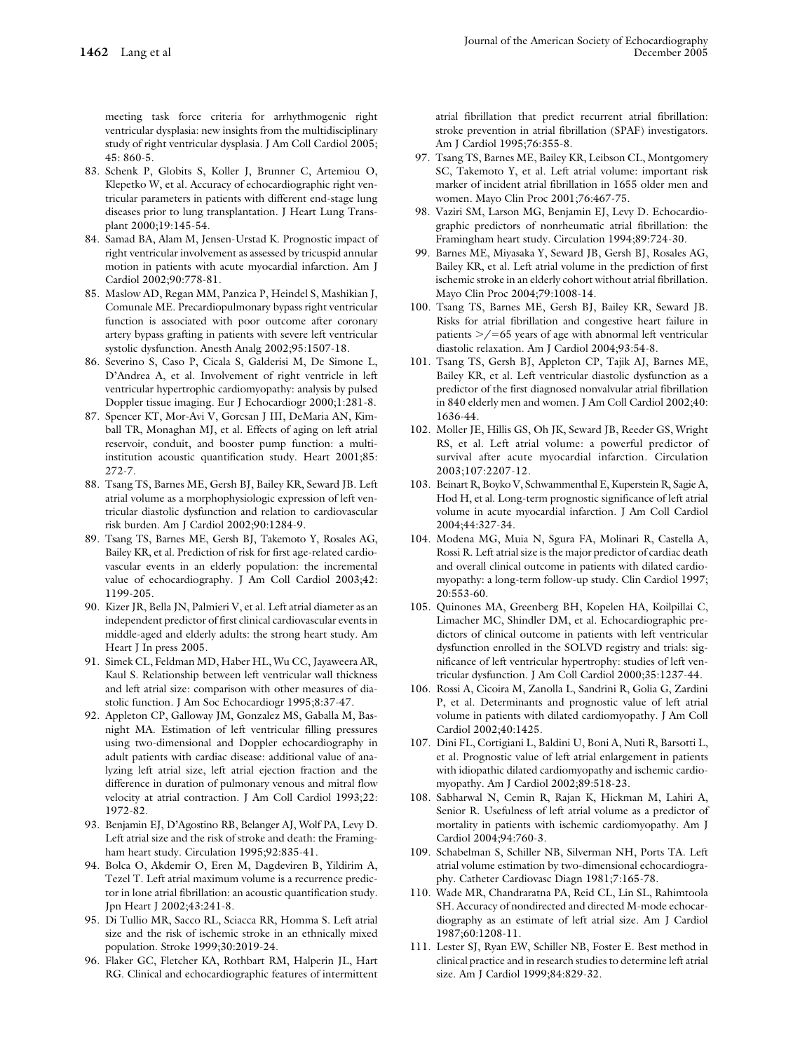<span id="page-22-0"></span>meeting task force criteria for arrhythmogenic right ventricular dysplasia: new insights from the multidisciplinary study of right ventricular dysplasia. J Am Coll Cardiol 2005; 45: 860-5.

- 83. Schenk P, Globits S, Koller J, Brunner C, Artemiou O, Klepetko W, et al. Accuracy of echocardiographic right ventricular parameters in patients with different end-stage lung diseases prior to lung transplantation. J Heart Lung Transplant 2000;19:145-54.
- 84. Samad BA, Alam M, Jensen-Urstad K. Prognostic impact of right ventricular involvement as assessed by tricuspid annular motion in patients with acute myocardial infarction. Am J Cardiol 2002;90:778-81.
- 85. Maslow AD, Regan MM, Panzica P, Heindel S, Mashikian J, Comunale ME. Precardiopulmonary bypass right ventricular function is associated with poor outcome after coronary artery bypass grafting in patients with severe left ventricular systolic dysfunction. Anesth Analg 2002;95:1507-18.
- 86. Severino S, Caso P, Cicala S, Galderisi M, De Simone L, D'Andrea A, et al. Involvement of right ventricle in left ventricular hypertrophic cardiomyopathy: analysis by pulsed Doppler tissue imaging. Eur J Echocardiogr 2000;1:281-8.
- 87. Spencer KT, Mor-Avi V, Gorcsan J III, DeMaria AN, Kimball TR, Monaghan MJ, et al. Effects of aging on left atrial reservoir, conduit, and booster pump function: a multiinstitution acoustic quantification study. Heart 2001;85: 272-7.
- 88. Tsang TS, Barnes ME, Gersh BJ, Bailey KR, Seward JB. Left atrial volume as a morphophysiologic expression of left ventricular diastolic dysfunction and relation to cardiovascular risk burden. Am J Cardiol 2002;90:1284-9.
- 89. Tsang TS, Barnes ME, Gersh BJ, Takemoto Y, Rosales AG, Bailey KR, et al. Prediction of risk for first age-related cardiovascular events in an elderly population: the incremental value of echocardiography. J Am Coll Cardiol 2003;42: 1199-205.
- 90. Kizer JR, Bella JN, Palmieri V, et al. Left atrial diameter as an independent predictor of first clinical cardiovascular events in middle-aged and elderly adults: the strong heart study. Am Heart J In press 2005.
- 91. Simek CL, Feldman MD, Haber HL, Wu CC, Jayaweera AR, Kaul S. Relationship between left ventricular wall thickness and left atrial size: comparison with other measures of diastolic function. J Am Soc Echocardiogr 1995;8:37-47.
- 92. Appleton CP, Galloway JM, Gonzalez MS, Gaballa M, Basnight MA. Estimation of left ventricular filling pressures using two-dimensional and Doppler echocardiography in adult patients with cardiac disease: additional value of analyzing left atrial size, left atrial ejection fraction and the difference in duration of pulmonary venous and mitral flow velocity at atrial contraction. J Am Coll Cardiol 1993;22: 1972-82.
- 93. Benjamin EJ, D'Agostino RB, Belanger AJ, Wolf PA, Levy D. Left atrial size and the risk of stroke and death: the Framingham heart study. Circulation 1995;92:835-41.
- 94. Bolca O, Akdemir O, Eren M, Dagdeviren B, Yildirim A, Tezel T. Left atrial maximum volume is a recurrence predictor in lone atrial fibrillation: an acoustic quantification study. Jpn Heart J 2002;43:241-8.
- 95. Di Tullio MR, Sacco RL, Sciacca RR, Homma S. Left atrial size and the risk of ischemic stroke in an ethnically mixed population. Stroke 1999;30:2019-24.
- 96. Flaker GC, Fletcher KA, Rothbart RM, Halperin JL, Hart RG. Clinical and echocardiographic features of intermittent

atrial fibrillation that predict recurrent atrial fibrillation: stroke prevention in atrial fibrillation (SPAF) investigators. Am J Cardiol 1995;76:355-8.

- 97. Tsang TS, Barnes ME, Bailey KR, Leibson CL, Montgomery SC, Takemoto Y, et al. Left atrial volume: important risk marker of incident atrial fibrillation in 1655 older men and women. Mayo Clin Proc 2001;76:467-75.
- 98. Vaziri SM, Larson MG, Benjamin EJ, Levy D. Echocardiographic predictors of nonrheumatic atrial fibrillation: the Framingham heart study. Circulation 1994;89:724-30.
- 99. Barnes ME, Miyasaka Y, Seward JB, Gersh BJ, Rosales AG, Bailey KR, et al. Left atrial volume in the prediction of first ischemic stroke in an elderly cohort without atrial fibrillation. Mayo Clin Proc 2004;79:1008-14.
- 100. Tsang TS, Barnes ME, Gersh BJ, Bailey KR, Seward JB. Risks for atrial fibrillation and congestive heart failure in patients  $\ge$ /=65 years of age with abnormal left ventricular diastolic relaxation. Am J Cardiol 2004;93:54-8.
- 101. Tsang TS, Gersh BJ, Appleton CP, Tajik AJ, Barnes ME, Bailey KR, et al. Left ventricular diastolic dysfunction as a predictor of the first diagnosed nonvalvular atrial fibrillation in 840 elderly men and women. J Am Coll Cardiol 2002;40: 1636-44.
- 102. Moller JE, Hillis GS, Oh JK, Seward JB, Reeder GS, Wright RS, et al. Left atrial volume: a powerful predictor of survival after acute myocardial infarction. Circulation 2003;107:2207-12.
- 103. Beinart R, Boyko V, Schwammenthal E, Kuperstein R, Sagie A, Hod H, et al. Long-term prognostic significance of left atrial volume in acute myocardial infarction. J Am Coll Cardiol 2004;44:327-34.
- 104. Modena MG, Muia N, Sgura FA, Molinari R, Castella A, Rossi R. Left atrial size is the major predictor of cardiac death and overall clinical outcome in patients with dilated cardiomyopathy: a long-term follow-up study. Clin Cardiol 1997; 20:553-60.
- 105. Quinones MA, Greenberg BH, Kopelen HA, Koilpillai C, Limacher MC, Shindler DM, et al. Echocardiographic predictors of clinical outcome in patients with left ventricular dysfunction enrolled in the SOLVD registry and trials: significance of left ventricular hypertrophy: studies of left ventricular dysfunction. J Am Coll Cardiol 2000;35:1237-44.
- 106. Rossi A, Cicoira M, Zanolla L, Sandrini R, Golia G, Zardini P, et al. Determinants and prognostic value of left atrial volume in patients with dilated cardiomyopathy. J Am Coll Cardiol 2002;40:1425.
- 107. Dini FL, Cortigiani L, Baldini U, Boni A, Nuti R, Barsotti L, et al. Prognostic value of left atrial enlargement in patients with idiopathic dilated cardiomyopathy and ischemic cardiomyopathy. Am J Cardiol 2002;89:518-23.
- 108. Sabharwal N, Cemin R, Rajan K, Hickman M, Lahiri A, Senior R. Usefulness of left atrial volume as a predictor of mortality in patients with ischemic cardiomyopathy. Am J Cardiol 2004;94:760-3.
- 109. Schabelman S, Schiller NB, Silverman NH, Ports TA. Left atrial volume estimation by two-dimensional echocardiography. Catheter Cardiovasc Diagn 1981;7:165-78.
- 110. Wade MR, Chandraratna PA, Reid CL, Lin SL, Rahimtoola SH. Accuracy of nondirected and directed M-mode echocardiography as an estimate of left atrial size. Am J Cardiol 1987;60:1208-11.
- 111. Lester SJ, Ryan EW, Schiller NB, Foster E. Best method in clinical practice and in research studies to determine left atrial size. Am J Cardiol 1999;84:829-32.